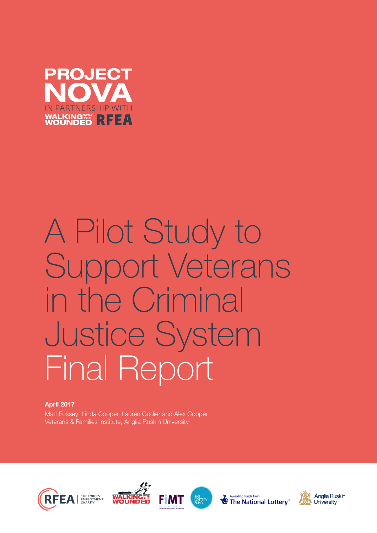

# A Pilot Study to Support Veterans in the Criminal Justice System Final Report

### April 2017

Matt Fossey, Linda Cooper, Lauren Godier and Alex Cooper Veterans & Families Institute, Anglia Ruskin University









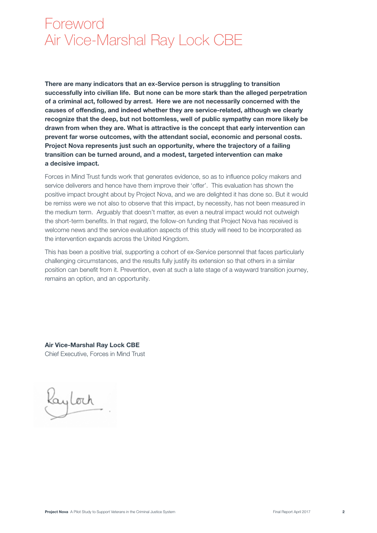# Foreword Air Vice-Marshal Ray Lock CBE

There are many indicators that an ex-Service person is struggling to transition successfully into civilian life. But none can be more stark than the alleged perpetration of a criminal act, followed by arrest. Here we are not necessarily concerned with the causes of offending, and indeed whether they are service-related, although we clearly recognize that the deep, but not bottomless, well of public sympathy can more likely be drawn from when they are. What is attractive is the concept that early intervention can prevent far worse outcomes, with the attendant social, economic and personal costs. Project Nova represents just such an opportunity, where the trajectory of a failing transition can be turned around, and a modest, targeted intervention can make a decisive impact.

Forces in Mind Trust funds work that generates evidence, so as to influence policy makers and service deliverers and hence have them improve their 'offer'. This evaluation has shown the positive impact brought about by Project Nova, and we are delighted it has done so. But it would be remiss were we not also to observe that this impact, by necessity, has not been measured in the medium term. Arguably that doesn't matter, as even a neutral impact would not outweigh the short-term benefits. In that regard, the follow-on funding that Project Nova has received is welcome news and the service evaluation aspects of this study will need to be incorporated as the intervention expands across the United Kingdom.

This has been a positive trial, supporting a cohort of ex-Service personnel that faces particularly challenging circumstances, and the results fully justify its extension so that others in a similar position can benefit from it. Prevention, even at such a late stage of a wayward transition journey, remains an option, and an opportunity.

Air Vice-Marshal Ray Lock CBE Chief Executive, Forces in Mind Trust

ayloch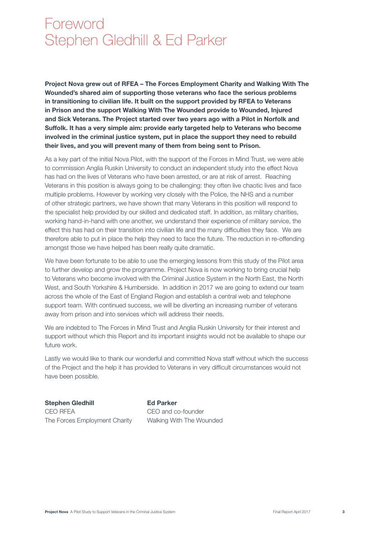# Foreword Stephen Gledhill & Ed Parker

Project Nova grew out of RFEA – The Forces Employment Charity and Walking With The Wounded's shared aim of supporting those veterans who face the serious problems in transitioning to civilian life. It built on the support provided by RFEA to Veterans in Prison and the support Walking With The Wounded provide to Wounded, Injured and Sick Veterans. The Project started over two years ago with a Pilot in Norfolk and Suffolk. It has a very simple aim: provide early targeted help to Veterans who become involved in the criminal justice system, put in place the support they need to rebuild their lives, and you will prevent many of them from being sent to Prison.

As a key part of the initial Nova Pilot, with the support of the Forces in Mind Trust, we were able to commission Anglia Ruskin University to conduct an independent study into the effect Nova has had on the lives of Veterans who have been arrested, or are at risk of arrest. Reaching Veterans in this position is always going to be challenging: they often live chaotic lives and face multiple problems. However by working very closely with the Police, the NHS and a number of other strategic partners, we have shown that many Veterans in this position will respond to the specialist help provided by our skilled and dedicated staff. In addition, as military charities, working hand-in-hand with one another, we understand their experience of military service, the effect this has had on their transition into civilian life and the many difficulties they face. We are therefore able to put in place the help they need to face the future. The reduction in re-offending amongst those we have helped has been really quite dramatic.

We have been fortunate to be able to use the emerging lessons from this study of the Pilot area to further develop and grow the programme. Project Nova is now working to bring crucial help to Veterans who become involved with the Criminal Justice System in the North East, the North West, and South Yorkshire & Humberside. In addition in 2017 we are going to extend our team across the whole of the East of England Region and establish a central web and telephone support team. With continued success, we will be diverting an increasing number of veterans away from prison and into services which will address their needs.

We are indebted to The Forces in Mind Trust and Anglia Ruskin University for their interest and support without which this Report and its important insights would not be available to shape our future work.

Lastly we would like to thank our wonderful and committed Nova staff without which the success of the Project and the help it has provided to Veterans in very difficult circumstances would not have been possible.

Stephen Gledhill **Ed Parker** CEO RFEA CEO and co-founder The Forces Employment Charity Walking With The Wounded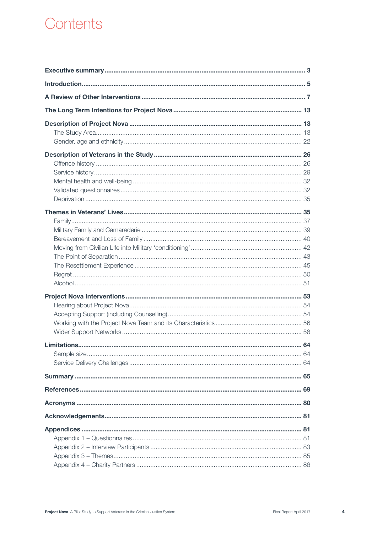# Contents

| Limitations | ……… 64 |
|-------------|--------|
|             |        |
|             |        |
|             |        |
|             |        |
|             |        |
|             |        |
|             |        |
|             |        |
|             |        |
|             |        |
|             |        |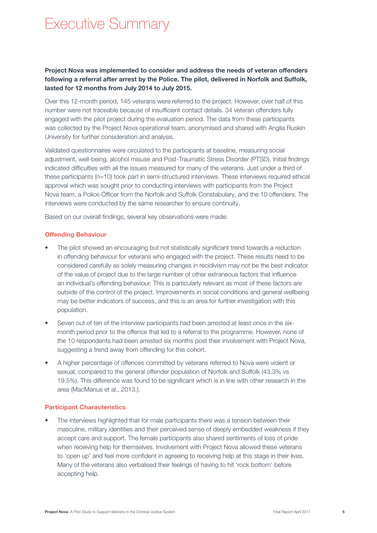# Executive Summary

## Project Nova was implemented to consider and address the needs of veteran offenders following a referral after arrest by the Police. The pilot, delivered in Norfolk and Suffolk, lasted for 12 months from July 2014 to July 2015.

Over this 12-month period, 145 veterans were referred to the project. However, over half of this number were not traceable because of insufficient contact details. 34 veteran offenders fully engaged with the pilot project during the evaluation period. The data from these participants was collected by the Project Nova operational team, anonymised and shared with Anglia Ruskin University for further consideration and analysis.

Validated questionnaires were circulated to the participants at baseline, measuring social adjustment, well-being, alcohol misuse and Post-Traumatic Stress Disorder (PTSD). Initial findings indicated difficulties with all the issues measured for many of the veterans. Just under a third of these participants (n=10) took part in semi-structured interviews. These interviews required ethical approval which was sought prior to conducting interviews with participants from the Project Nova team, a Police Officer from the Norfolk and Suffolk Constabulary, and the 10 offenders. The interviews were conducted by the same researcher to ensure continuity.

Based on our overall findings, several key observations were made:

#### Offending Behaviour

- The pilot showed an encouraging but not statistically significant trend towards a reduction in offending behaviour for veterans who engaged with the project. These results need to be considered carefully as solely measuring changes in recidivism may not be the best indicator of the value of project due to the large number of other extraneous factors that influence an individual's offending behaviour. This is particularly relevant as most of these factors are outside of the control of the project. Improvements in social conditions and general wellbeing may be better indicators of success, and this is an area for further investigation with this population.
- Seven out of ten of the interview participants had been arrested at least once in the sixmonth period prior to the offence that led to a referral to the programme. However, none of the 10 respondents had been arrested six months post their involvement with Project Nova, suggesting a trend away from offending for this cohort.
- A higher percentage of offences committed by veterans referred to Nova were violent or sexual, compared to the general offender population of Norfolk and Suffolk (43.3% vs 19.5%). This difference was found to be significant which is in line with other research in the area (MacManus et al., 2013.).

#### Participant Characteristics

The interviews highlighted that for male participants there was a tension between their masculine, military identities and their perceived sense of deeply embedded weakness if they accept care and support. The female participants also shared sentiments of loss of pride when receiving help for themselves. Involvement with Project Nova allowed these veterans to 'open up' and feel more confident in agreeing to receiving help at this stage in their lives. Many of the veterans also verbalised their feelings of having to hit 'rock bottom' before accepting help.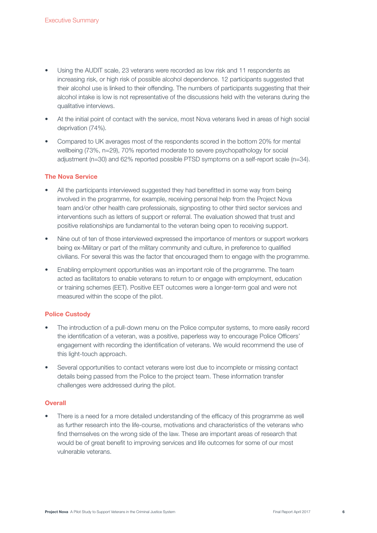- Using the AUDIT scale, 23 veterans were recorded as low risk and 11 respondents as increasing risk, or high risk of possible alcohol dependence. 12 participants suggested that their alcohol use is linked to their offending. The numbers of participants suggesting that their alcohol intake is low is not representative of the discussions held with the veterans during the qualitative interviews.
- At the initial point of contact with the service, most Nova veterans lived in areas of high social deprivation (74%).
- Compared to UK averages most of the respondents scored in the bottom 20% for mental wellbeing (73%, n=29), 70% reported moderate to severe psychopathology for social adjustment (n=30) and 62% reported possible PTSD symptoms on a self-report scale (n=34).

#### The Nova Service

- All the participants interviewed suggested they had benefitted in some way from being involved in the programme, for example, receiving personal help from the Project Nova team and/or other health care professionals, signposting to other third sector services and interventions such as letters of support or referral. The evaluation showed that trust and positive relationships are fundamental to the veteran being open to receiving support.
- Nine out of ten of those interviewed expressed the importance of mentors or support workers being ex-Military or part of the military community and culture, in preference to qualified civilians. For several this was the factor that encouraged them to engage with the programme.
- Enabling employment opportunities was an important role of the programme. The team acted as facilitators to enable veterans to return to or engage with employment, education or training schemes (EET). Positive EET outcomes were a longer-term goal and were not measured within the scope of the pilot.

#### Police Custody

- The introduction of a pull-down menu on the Police computer systems, to more easily record the identification of a veteran, was a positive, paperless way to encourage Police Officers' engagement with recording the identification of veterans. We would recommend the use of this light-touch approach.
- Several opportunities to contact veterans were lost due to incomplete or missing contact details being passed from the Police to the project team. These information transfer challenges were addressed during the pilot.

### **Overall**

There is a need for a more detailed understanding of the efficacy of this programme as well as further research into the life-course, motivations and characteristics of the veterans who find themselves on the wrong side of the law. These are important areas of research that would be of great benefit to improving services and life outcomes for some of our most vulnerable veterans.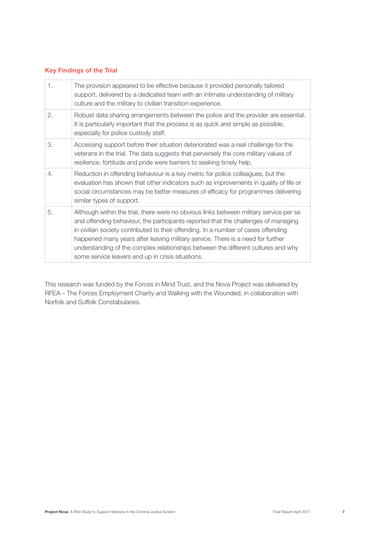### Key Findings of the Trial

| 1. | The provision appeared to be effective because it provided personally tailored<br>support, delivered by a dedicated team with an intimate understanding of military<br>culture and the military to civilian transition experience.                                                                                                                                                                                                                                                              |
|----|-------------------------------------------------------------------------------------------------------------------------------------------------------------------------------------------------------------------------------------------------------------------------------------------------------------------------------------------------------------------------------------------------------------------------------------------------------------------------------------------------|
| 2. | Robust data sharing arrangements between the police and the provider are essential.<br>It is particularly important that the process is as quick and simple as possible,<br>especially for police custody staff.                                                                                                                                                                                                                                                                                |
| 3. | Accessing support before their situation deteriorated was a real challenge for the<br>veterans in the trial. The data suggests that perversely the core military values of<br>resilience, fortitude and pride were barriers to seeking timely help.                                                                                                                                                                                                                                             |
| 4. | Reduction in offending behaviour is a key metric for police colleagues, but the<br>evaluation has shown that other indicators such as improvements in quality of life or<br>social circumstances may be better measures of efficacy for programmes delivering<br>similar types of support.                                                                                                                                                                                                      |
| 5. | Although within the trial, there were no obvious links between military service per se<br>and offending behaviour, the participants reported that the challenges of managing<br>in civilian society contributed to their offending. In a number of cases offending<br>happened many years after leaving military service. There is a need for further<br>understanding of the complex relationships between the different cultures and why<br>some service leavers end up in crisis situations. |

This research was funded by the Forces in Mind Trust, and the Nova Project was delivered by RFEA – The Forces Employment Charity and Walking with the Wounded, in collaboration with Norfolk and Suffolk Constabularies.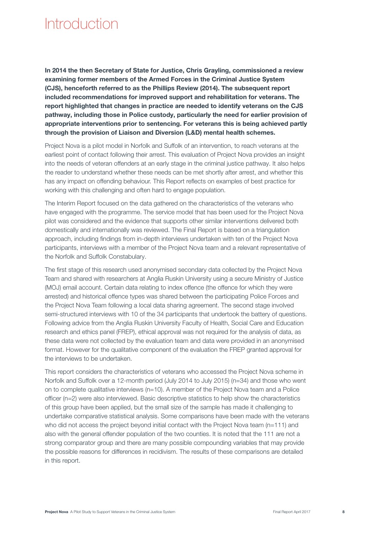# Introduction

In 2014 the then Secretary of State for Justice, Chris Grayling, commissioned a review examining former members of the Armed Forces in the Criminal Justice System (CJS), henceforth referred to as the Phillips Review (2014). The subsequent report included recommendations for improved support and rehabilitation for veterans. The report highlighted that changes in practice are needed to identify veterans on the CJS pathway, including those in Police custody, particularly the need for earlier provision of appropriate interventions prior to sentencing. For veterans this is being achieved partly through the provision of Liaison and Diversion (L&D) mental health schemes.

Project Nova is a pilot model in Norfolk and Suffolk of an intervention, to reach veterans at the earliest point of contact following their arrest. This evaluation of Project Nova provides an insight into the needs of veteran offenders at an early stage in the criminal justice pathway. It also helps the reader to understand whether these needs can be met shortly after arrest, and whether this has any impact on offending behaviour. This Report reflects on examples of best practice for working with this challenging and often hard to engage population.

The Interim Report focused on the data gathered on the characteristics of the veterans who have engaged with the programme. The service model that has been used for the Project Nova pilot was considered and the evidence that supports other similar interventions delivered both domestically and internationally was reviewed. The Final Report is based on a triangulation approach, including findings from in-depth interviews undertaken with ten of the Project Nova participants, interviews with a member of the Project Nova team and a relevant representative of the Norfolk and Suffolk Constabulary.

The first stage of this research used anonymised secondary data collected by the Project Nova Team and shared with researchers at Anglia Ruskin University using a secure Ministry of Justice (MOJ) email account. Certain data relating to index offence (the offence for which they were arrested) and historical offence types was shared between the participating Police Forces and the Project Nova Team following a local data sharing agreement. The second stage involved semi-structured interviews with 10 of the 34 participants that undertook the battery of questions. Following advice from the Anglia Ruskin University Faculty of Health, Social Care and Education research and ethics panel (FREP), ethical approval was not required for the analysis of data, as these data were not collected by the evaluation team and data were provided in an anonymised format. However for the qualitative component of the evaluation the FREP granted approval for the interviews to be undertaken.

This report considers the characteristics of veterans who accessed the Project Nova scheme in Norfolk and Suffolk over a 12-month period (July 2014 to July 2015) (n=34) and those who went on to complete qualitative interviews (n=10). A member of the Project Nova team and a Police officer (n=2) were also interviewed. Basic descriptive statistics to help show the characteristics of this group have been applied, but the small size of the sample has made it challenging to undertake comparative statistical analysis. Some comparisons have been made with the veterans who did not access the project beyond initial contact with the Project Nova team (n=111) and also with the general offender population of the two counties. It is noted that the 111 are not a strong comparator group and there are many possible compounding variables that may provide the possible reasons for differences in recidivism. The results of these comparisons are detailed in this report.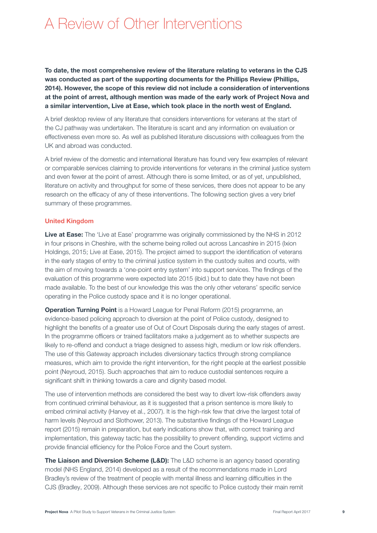# A Review of Other Interventions

To date, the most comprehensive review of the literature relating to veterans in the CJS was conducted as part of the supporting documents for the Phillips Review (Phillips, 2014). However, the scope of this review did not include a consideration of interventions at the point of arrest, although mention was made of the early work of Project Nova and a similar intervention, Live at Ease, which took place in the north west of England.

A brief desktop review of any literature that considers interventions for veterans at the start of the CJ pathway was undertaken. The literature is scant and any information on evaluation or effectiveness even more so. As well as published literature discussions with colleagues from the UK and abroad was conducted.

A brief review of the domestic and international literature has found very few examples of relevant or comparable services claiming to provide interventions for veterans in the criminal justice system and even fewer at the point of arrest. Although there is some limited, or as of yet, unpublished, literature on activity and throughput for some of these services, there does not appear to be any research on the efficacy of any of these interventions. The following section gives a very brief summary of these programmes.

#### United Kingdom

Live at Ease: The 'Live at Ease' programme was originally commissioned by the NHS in 2012 in four prisons in Cheshire, with the scheme being rolled out across Lancashire in 2015 (Ixion Holdings, 2015; Live at Ease, 2015). The project aimed to support the identification of veterans in the early stages of entry to the criminal justice system in the custody suites and courts, with the aim of moving towards a 'one-point entry system' into support services. The findings of the evaluation of this programme were expected late 2015 (ibid.) but to date they have not been made available. To the best of our knowledge this was the only other veterans' specific service operating in the Police custody space and it is no longer operational.

**Operation Turning Point** is a Howard League for Penal Reform (2015) programme, an evidence-based policing approach to diversion at the point of Police custody, designed to highlight the benefits of a greater use of Out of Court Disposals during the early stages of arrest. In the programme officers or trained facilitators make a judgement as to whether suspects are likely to re-offend and conduct a triage designed to assess high, medium or low risk offenders. The use of this Gateway approach includes diversionary tactics through strong compliance measures, which aim to provide the right intervention, for the right people at the earliest possible point (Neyroud, 2015). Such approaches that aim to reduce custodial sentences require a significant shift in thinking towards a care and dignity based model.

The use of intervention methods are considered the best way to divert low-risk offenders away from continued criminal behaviour, as it is suggested that a prison sentence is more likely to embed criminal activity (Harvey et al., 2007). It is the high-risk few that drive the largest total of harm levels (Neyroud and Slothower, 2013). The substantive findings of the Howard League report (2015) remain in preparation, but early indications show that, with correct training and implementation, this gateway tactic has the possibility to prevent offending, support victims and provide financial efficiency for the Police Force and the Court system.

The Liaison and Diversion Scheme (L&D): The L&D scheme is an agency based operating model (NHS England, 2014) developed as a result of the recommendations made in Lord Bradley's review of the treatment of people with mental illness and learning difficulties in the CJS (Bradley, 2009). Although these services are not specific to Police custody their main remit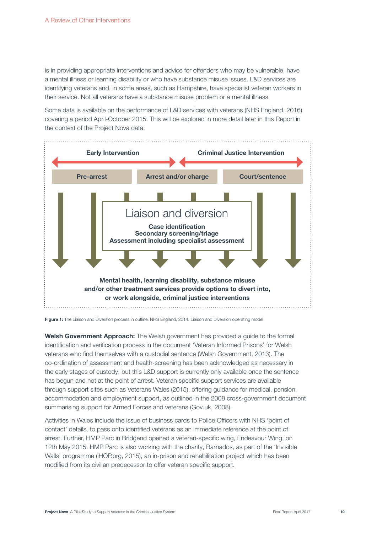is in providing appropriate interventions and advice for offenders who may be vulnerable, have a mental illness or learning disability or who have substance misuse issues. L&D services are identifying veterans and, in some areas, such as Hampshire, have specialist veteran workers in their service. Not all veterans have a substance misuse problem or a mental illness.

Some data is available on the performance of L&D services with veterans (NHS England, 2016) covering a period April-October 2015. This will be explored in more detail later in this Report in the context of the Project Nova data.



Figure 1: The Liaison and Diversion process in outline. NHS England, 2014. Liaison and Diversion operating model.

Welsh Government Approach: The Welsh government has provided a guide to the formal identification and verification process in the document 'Veteran Informed Prisons' for Welsh veterans who find themselves with a custodial sentence (Welsh Government, 2013). The co-ordination of assessment and health-screening has been acknowledged as necessary in the early stages of custody, but this L&D support is currently only available once the sentence has begun and not at the point of arrest. Veteran specific support services are available through support sites such as Veterans Wales (2015), offering guidance for medical, pension, accommodation and employment support, as outlined in the 2008 cross-government document summarising support for Armed Forces and veterans (Gov.uk, 2008).

Activities in Wales include the issue of business cards to Police Officers with NHS 'point of contact' details, to pass onto identified veterans as an immediate reference at the point of arrest. Further, HMP Parc in Bridgend opened a veteran-specific wing, Endeavour Wing, on 12th May 2015. HMP Parc is also working with the charity, Barnados, as part of the 'Invisible Walls' programme (iHOP.org, 2015), an in-prison and rehabilitation project which has been modified from its civilian predecessor to offer veteran specific support.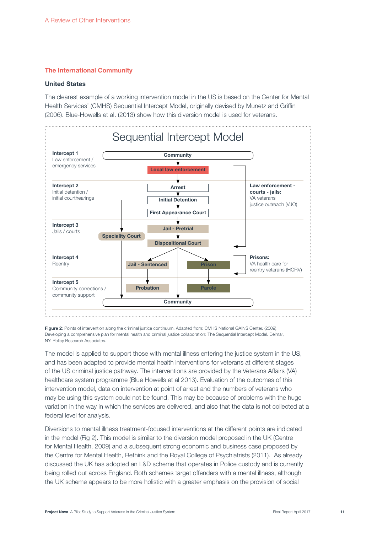#### The International Community

#### United States

The clearest example of a working intervention model in the US is based on the Center for Mental Health Services' (CMHS) Sequential Intercept Model, originally devised by Munetz and Griffin (2006). Blue-Howells et al. (2013) show how this diversion model is used for veterans.



Figure 2: Points of intervention along the criminal justice continuum. Adapted from: CMHS National GAINS Center. (2009). Developing a comprehensive plan for mental health and criminal justice collaboration: The Sequential Intercept Model. Delmar, NY: Policy Research Associates.

The model is applied to support those with mental illness entering the justice system in the US, and has been adapted to provide mental health interventions for veterans at different stages of the US criminal justice pathway. The interventions are provided by the Veterans Affairs (VA) healthcare system programme (Blue Howells et al 2013). Evaluation of the outcomes of this intervention model, data on intervention at point of arrest and the numbers of veterans who may be using this system could not be found. This may be because of problems with the huge variation in the way in which the services are delivered, and also that the data is not collected at a federal level for analysis.

Diversions to mental illness treatment-focused interventions at the different points are indicated in the model (Fig 2). This model is similar to the diversion model proposed in the UK (Centre for Mental Health, 2009) and a subsequent strong economic and business case proposed by the Centre for Mental Health, Rethink and the Royal College of Psychiatrists (2011). As already discussed the UK has adopted an L&D scheme that operates in Police custody and is currently being rolled out across England. Both schemes target offenders with a mental illness, although the UK scheme appears to be more holistic with a greater emphasis on the provision of social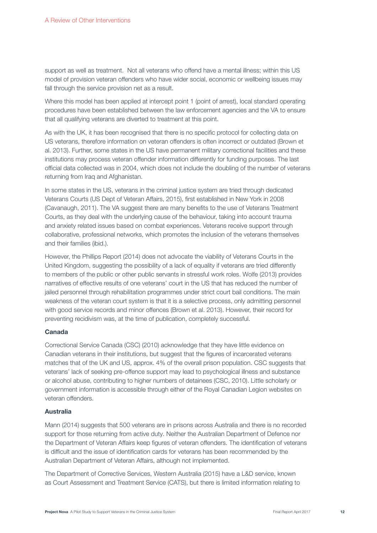support as well as treatment. Not all veterans who offend have a mental illness; within this US model of provision veteran offenders who have wider social, economic or wellbeing issues may fall through the service provision net as a result.

Where this model has been applied at intercept point 1 (point of arrest), local standard operating procedures have been established between the law enforcement agencies and the VA to ensure that all qualifying veterans are diverted to treatment at this point.

As with the UK, it has been recognised that there is no specific protocol for collecting data on US veterans, therefore information on veteran offenders is often incorrect or outdated (Brown et al. 2013). Further, some states in the US have permanent military correctional facilities and these institutions may process veteran offender information differently for funding purposes. The last official data collected was in 2004, which does not include the doubling of the number of veterans returning from Iraq and Afghanistan.

In some states in the US, veterans in the criminal justice system are tried through dedicated Veterans Courts (US Dept of Veteran Affairs, 2015), first established in New York in 2008 (Cavanaugh, 2011). The VA suggest there are many benefits to the use of Veterans Treatment Courts, as they deal with the underlying cause of the behaviour, taking into account trauma and anxiety related issues based on combat experiences. Veterans receive support through collaborative, professional networks, which promotes the inclusion of the veterans themselves and their families (ibid.).

However, the Phillips Report (2014) does not advocate the viability of Veterans Courts in the United Kingdom, suggesting the possibility of a lack of equality if veterans are tried differently to members of the public or other public servants in stressful work roles. Wolfe (2013) provides narratives of effective results of one veterans' court in the US that has reduced the number of jailed personnel through rehabilitation programmes under strict court bail conditions. The main weakness of the veteran court system is that it is a selective process, only admitting personnel with good service records and minor offences (Brown et al. 2013). However, their record for preventing recidivism was, at the time of publication, completely successful.

#### Canada

Correctional Service Canada (CSC) (2010) acknowledge that they have little evidence on Canadian veterans in their institutions, but suggest that the figures of incarcerated veterans matches that of the UK and US, approx. 4% of the overall prison population. CSC suggests that veterans' lack of seeking pre-offence support may lead to psychological illness and substance or alcohol abuse, contributing to higher numbers of detainees (CSC, 2010). Little scholarly or government information is accessible through either of the Royal Canadian Legion websites on veteran offenders.

### Australia

Mann (2014) suggests that 500 veterans are in prisons across Australia and there is no recorded support for those returning from active duty. Neither the Australian Department of Defence nor the Department of Veteran Affairs keep figures of veteran offenders. The identification of veterans is difficult and the issue of identification cards for veterans has been recommended by the Australian Department of Veteran Affairs, although not implemented.

The Department of Corrective Services, Western Australia (2015) have a L&D service, known as Court Assessment and Treatment Service (CATS), but there is limited information relating to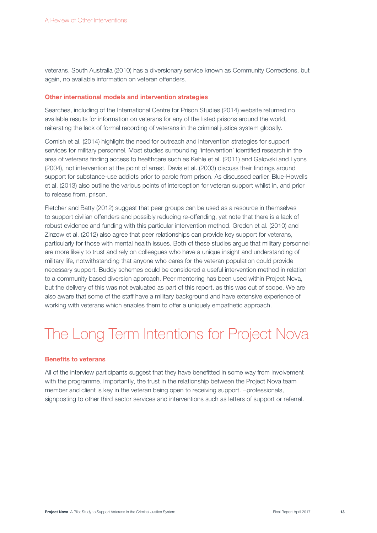veterans. South Australia (2010) has a diversionary service known as Community Corrections, but again, no available information on veteran offenders.

#### Other international models and intervention strategies

Searches, including of the International Centre for Prison Studies (2014) website returned no available results for information on veterans for any of the listed prisons around the world, reiterating the lack of formal recording of veterans in the criminal justice system globally.

Cornish et al. (2014) highlight the need for outreach and intervention strategies for support services for military personnel. Most studies surrounding 'intervention' identified research in the area of veterans finding access to healthcare such as Kehle et al. (2011) and Galovski and Lyons (2004), not intervention at the point of arrest. Davis et al. (2003) discuss their findings around support for substance-use addicts prior to parole from prison. As discussed earlier, Blue-Howells et al. (2013) also outline the various points of interception for veteran support whilst in, and prior to release from, prison.

Fletcher and Batty (2012) suggest that peer groups can be used as a resource in themselves to support civilian offenders and possibly reducing re-offending, yet note that there is a lack of robust evidence and funding with this particular intervention method. Greden et al. (2010) and Zinzow et al. (2012) also agree that peer relationships can provide key support for veterans, particularly for those with mental health issues. Both of these studies argue that military personnel are more likely to trust and rely on colleagues who have a unique insight and understanding of military life, notwithstanding that anyone who cares for the veteran population could provide necessary support. Buddy schemes could be considered a useful intervention method in relation to a community based diversion approach. Peer mentoring has been used within Project Nova, but the delivery of this was not evaluated as part of this report, as this was out of scope. We are also aware that some of the staff have a military background and have extensive experience of working with veterans which enables them to offer a uniquely empathetic approach.

# The Long Term Intentions for Project Nova

#### Benefits to veterans

All of the interview participants suggest that they have benefitted in some way from involvement with the programme. Importantly, the trust in the relationship between the Project Nova team member and client is key in the veteran being open to receiving support. ¬professionals, signposting to other third sector services and interventions such as letters of support or referral.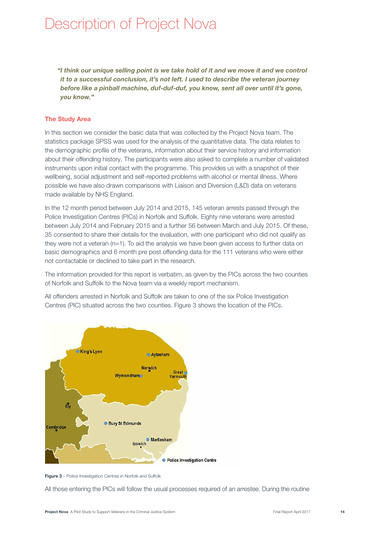# Description of Project Nova

"I think our unique selling point is we take hold of it and we move it and we control it to a successful conclusion, it's not left. I used to describe the veteran journey before like a pinball machine, duf-duf-duf, you know, sent all over until it's gone, you know."

#### The Study Area

In this section we consider the basic data that was collected by the Project Nova team. The statistics package SPSS was used for the analysis of the quantitative data. The data relates to the demographic profile of the veterans, information about their service history and information about their offending history. The participants were also asked to complete a number of validated instruments upon initial contact with the programme. This provides us with a snapshot of their wellbeing, social adjustment and self-reported problems with alcohol or mental illness. Where possible we have also drawn comparisons with Liaison and Diversion (L&D) data on veterans made available by NHS England.

In the 12 month period between July 2014 and 2015, 145 veteran arrests passed through the Police Investigation Centres (PICs) in Norfolk and Suffolk. Eighty nine veterans were arrested between July 2014 and February 2015 and a further 56 between March and July 2015. Of these, 35 consented to share their details for the evaluation, with one participant who did not qualify as they were not a veteran (n=1). To aid the analysis we have been given access to further data on basic demographics and 6 month pre post offending data for the 111 veterans who were either not contactable or declined to take part in the research.

The information provided for this report is verbatim, as given by the PICs across the two counties of Norfolk and Suffolk to the Nova team via a weekly report mechanism.

All offenders arrested in Norfolk and Suffolk are taken to one of the six Police Investigation Centres (PIC) situated across the two counties. Figure 3 shows the location of the PICs.





All those entering the PICs will follow the usual processes required of an arrestee. During the routine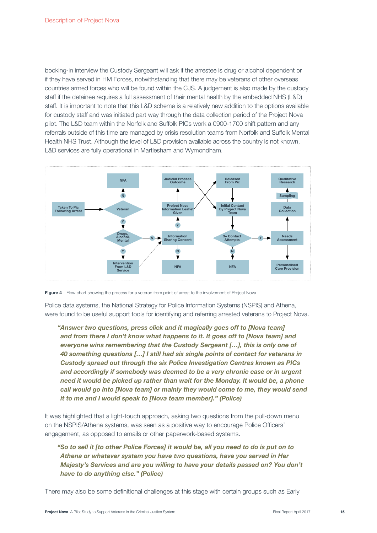booking-in interview the Custody Sergeant will ask if the arrestee is drug or alcohol dependent or if they have served in HM Forces, notwithstanding that there may be veterans of other overseas countries armed forces who will be found within the CJS. A judgement is also made by the custody staff if the detainee requires a full assessment of their mental health by the embedded NHS (L&D) staff. It is important to note that this L&D scheme is a relatively new addition to the options available for custody staff and was initiated part way through the data collection period of the Project Nova pilot. The L&D team within the Norfolk and Suffolk PICs work a 0900-1700 shift pattern and any referrals outside of this time are managed by crisis resolution teams from Norfolk and Suffolk Mental Health NHS Trust. Although the level of L&D provision available across the country is not known, L&D services are fully operational in Martlesham and Wymondham.





Police data systems, the National Strategy for Police Information Systems (NSPIS) and Athena, were found to be useful support tools for identifying and referring arrested veterans to Project Nova.

 "Answer two questions, press click and it magically goes off to [Nova team] and from there I don't know what happens to it. It goes off to [Nova team] and everyone wins remembering that the Custody Sergeant […], this is only one of 40 something questions […] I still had six single points of contact for veterans in Custody spread out through the six Police Investigation Centres known as PICs and accordingly if somebody was deemed to be a very chronic case or in urgent need it would be picked up rather than wait for the Monday. It would be, a phone call would go into [Nova team] or mainly they would come to me, they would send it to me and I would speak to [Nova team member]." (Police)

It was highlighted that a light-touch approach, asking two questions from the pull-down menu on the NSPIS/Athena systems, was seen as a positive way to encourage Police Officers' engagement, as opposed to emails or other paperwork-based systems.

 "So to sell it [to other Police Forces] it would be, all you need to do is put on to Athena or whatever system you have two questions, have you served in Her Majesty's Services and are you willing to have your details passed on? You don't have to do anything else." (Police)

There may also be some definitional challenges at this stage with certain groups such as Early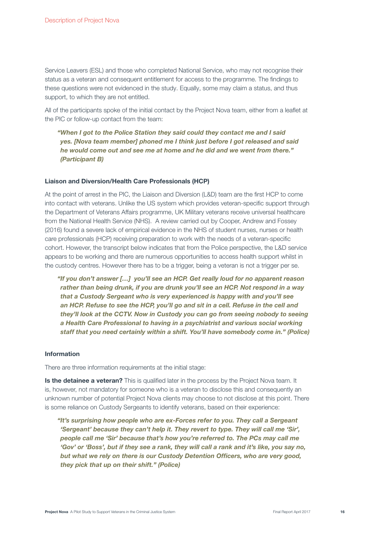Service Leavers (ESL) and those who completed National Service, who may not recognise their status as a veteran and consequent entitlement for access to the programme. The findings to these questions were not evidenced in the study. Equally, some may claim a status, and thus support, to which they are not entitled.

All of the participants spoke of the initial contact by the Project Nova team, either from a leaflet at the PIC or follow-up contact from the team:

"When I got to the Police Station they said could they contact me and I said yes. [Nova team member] phoned me I think just before I got released and said he would come out and see me at home and he did and we went from there." (Participant B)

#### Liaison and Diversion/Health Care Professionals (HCP)

At the point of arrest in the PIC, the Liaison and Diversion (L&D) team are the first HCP to come into contact with veterans. Unlike the US system which provides veteran-specific support through the Department of Veterans Affairs programme, UK Military veterans receive universal healthcare from the National Health Service (NHS). A review carried out by Cooper, Andrew and Fossey (2016) found a severe lack of empirical evidence in the NHS of student nurses, nurses or health care professionals (HCP) receiving preparation to work with the needs of a veteran-specific cohort. However, the transcript below indicates that from the Police perspective, the L&D service appears to be working and there are numerous opportunities to access health support whilst in the custody centres. However there has to be a trigger, being a veteran is not a trigger per se.

"If you don't answer […] you'll see an HCP. Get really loud for no apparent reason rather than being drunk, if you are drunk you'll see an HCP. Not respond in a way that a Custody Sergeant who is very experienced is happy with and you'll see an HCP. Refuse to see the HCP, you'll go and sit in a cell. Refuse in the cell and they'll look at the CCTV. Now in Custody you can go from seeing nobody to seeing a Health Care Professional to having in a psychiatrist and various social working staff that you need certainly within a shift. You'll have somebody come in." (Police)

#### Information

There are three information requirements at the initial stage:

Is the detainee a veteran? This is qualified later in the process by the Project Nova team. It is, however, not mandatory for someone who is a veteran to disclose this and consequently an unknown number of potential Project Nova clients may choose to not disclose at this point. There is some reliance on Custody Sergeants to identify veterans, based on their experience:

"It's surprising how people who are ex-Forces refer to you. They call a Sergeant 'Sergeant' because they can't help it. They revert to type. They will call me 'Sir', people call me 'Sir' because that's how you're referred to. The PCs may call me 'Gov' or 'Boss', but if they see a rank, they will call a rank and it's like, you say no, but what we rely on there is our Custody Detention Officers, who are very good, they pick that up on their shift." (Police)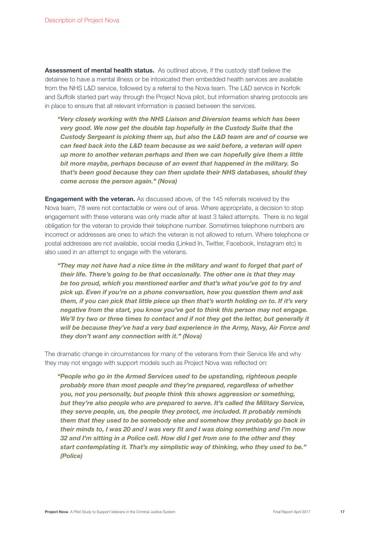Assessment of mental health status. As outlined above, if the custody staff believe the detainee to have a mental illness or be intoxicated then embedded health services are available from the NHS L&D service, followed by a referral to the Nova team. The L&D service in Norfolk and Suffolk started part way through the Project Nova pilot, but information sharing protocols are in place to ensure that all relevant information is passed between the services.

"Very closely working with the NHS Liaison and Diversion teams which has been very good. We now get the double tap hopefully in the Custody Suite that the Custody Sergeant is picking them up, but also the L&D team are and of course we can feed back into the L&D team because as we said before, a veteran will open up more to another veteran perhaps and then we can hopefully give them a little bit more maybe, perhaps because of an event that happened in the military. So that's been good because they can then update their NHS databases, should they come across the person again." (Nova)

**Engagement with the veteran.** As discussed above, of the 145 referrals received by the Nova team, 78 were not contactable or were out of area. Where appropriate, a decision to stop engagement with these veterans was only made after at least 3 failed attempts. There is no legal obligation for the veteran to provide their telephone number. Sometimes telephone numbers are incorrect or addresses are ones to which the veteran is not allowed to return. Where telephone or postal addresses are not available, social media (Linked In, Twitter, Facebook, Instagram etc) is also used in an attempt to engage with the veterans.

"They may not have had a nice time in the military and want to forget that part of their life. There's going to be that occasionally. The other one is that they may be too proud, which you mentioned earlier and that's what you've got to try and pick up. Even if you're on a phone conversation, how you question them and ask them, if you can pick that little piece up then that's worth holding on to. If it's very negative from the start, you know you've got to think this person may not engage. We'll try two or three times to contact and if not they get the letter, but generally it will be because they've had a very bad experience in the Army, Navy, Air Force and they don't want any connection with it." (Nova)

The dramatic change in circumstances for many of the veterans from their Service life and why they may not engage with support models such as Project Nova was reflected on:

"People who go in the Armed Services used to be upstanding, righteous people probably more than most people and they're prepared, regardless of whether you, not you personally, but people think this shows aggression or something, but they're also people who are prepared to serve. It's called the Military Service, they serve people, us, the people they protect, me included. It probably reminds them that they used to be somebody else and somehow they probably go back in their minds to, I was 20 and I was very fit and I was doing something and I'm now 32 and I'm sitting in a Police cell. How did I get from one to the other and they start contemplating it. That's my simplistic way of thinking, who they used to be." (Police)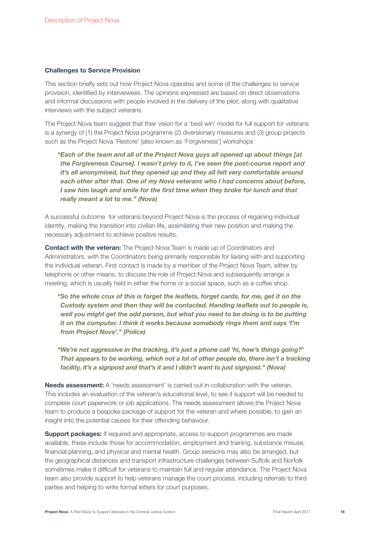#### Challenges to Service Provision

This section briefly sets out how Project Nova operates and some of the challenges to service provision, identified by interviewees. The opinions expressed are based on direct observations and informal discussions with people involved in the delivery of the pilot, along with qualitative interviews with the subject veterans.

The Project Nova team suggest that their vision for a 'best win' model for full support for veterans is a synergy of (1) the Project Nova programme (2) diversionary measures and (3) group projects such as the Project Nova 'Restore' [also known as 'Forgiveness'] workshops

"Each of the team and all of the Project Nova guys all opened up about things [at the Forgiveness Course]. I wasn't privy to it, I've seen the post-course report and it's all anonymised, but they opened up and they all felt very comfortable around each other after that. One of my Nova veterans who I had concerns about before, I saw him laugh and smile for the first time when they broke for lunch and that really meant a lot to me." (Nova)

A successful outcome for veterans beyond Project Nova is the process of regaining individual identity, making the transition into civilian life, assimilating their new position and making the necessary adjustment to achieve positive results.

Contact with the veteran: The Project Nova Team is made up of Coordinators and Administrators, with the Coordinators being primarily responsible for liaising with and supporting the individual veteran. First contact is made by a member of the Project Nova Team, either by telephone or other means, to discuss the role of Project Nova and subsequently arrange a meeting, which is usually held in either the home or a social space, such as a coffee shop.

"So the whole crux of this is forget the leaflets, forget cards, for me, get it on the Custody system and then they will be contacted. Handing leaflets out to people is, well you might get the odd person, but what you need to be doing is to be putting it on the computer. I think it works because somebody rings them and says 'I'm from Project Nova'." (Police)

"We're not aggressive in the tracking, it's just a phone call 'hi, how's things going?' That appears to be working, which not a lot of other people do, there isn't a tracking facility, it's a signpost and that's it and I didn't want to just signpost." (Nova)

Needs assessment: A 'needs assessment' is carried out in collaboration with the veteran. This includes an evaluation of the veteran's educational level, to see if support will be needed to complete court paperwork or job applications. The needs assessment allows the Project Nova team to produce a bespoke package of support for the veteran and where possible, to gain an insight into the potential causes for their offending behaviour.

**Support packages:** If required and appropriate, access to support programmes are made available, these include those for accommodation, employment and training, substance misuse, financial planning, and physical and mental health. Group sessions may also be arranged, but the geographical distances and transport infrastructure challenges between Suffolk and Norfolk sometimes make it difficult for veterans to maintain full and regular attendance. The Project Nova team also provide support to help veterans manage the court process, including referrals to third parties and helping to write formal letters for court purposes.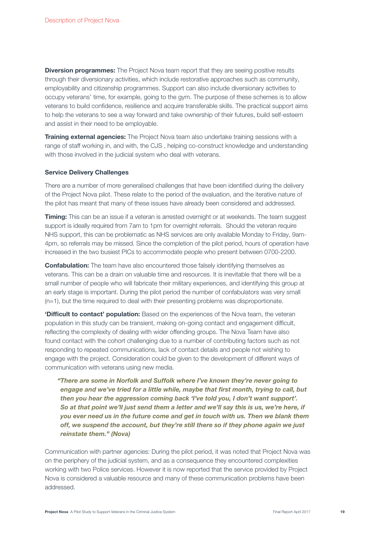**Diversion programmes:** The Project Nova team report that they are seeing positive results through their diversionary activities, which include restorative approaches such as community, employability and citizenship programmes. Support can also include diversionary activities to occupy veterans' time, for example, going to the gym. The purpose of these schemes is to allow veterans to build confidence, resilience and acquire transferable skills. The practical support aims to help the veterans to see a way forward and take ownership of their futures, build self-esteem and assist in their need to be employable.

**Training external agencies:** The Project Nova team also undertake training sessions with a range of staff working in, and with, the CJS , helping co-construct knowledge and understanding with those involved in the judicial system who deal with veterans.

#### Service Delivery Challenges

There are a number of more generalised challenges that have been identified during the delivery of the Project Nova pilot. These relate to the period of the evaluation, and the iterative nature of the pilot has meant that many of these issues have already been considered and addressed.

**Timing:** This can be an issue if a veteran is arrested overnight or at weekends. The team suggest support is ideally required from 7am to 1pm for overnight referrals. Should the veteran require NHS support, this can be problematic as NHS services are only available Monday to Friday, 9am-4pm, so referrals may be missed. Since the completion of the pilot period, hours of operation have increased in the two busiest PICs to accommodate people who present between 0700-2200.

**Confabulation:** The team have also encountered those falsely identifying themselves as veterans. This can be a drain on valuable time and resources. It is inevitable that there will be a small number of people who will fabricate their military experiences, and identifying this group at an early stage is important. During the pilot period the number of confabulators was very small (n=1), but the time required to deal with their presenting problems was disproportionate.

**'Difficult to contact' population:** Based on the experiences of the Nova team, the veteran population in this study can be transient, making on-going contact and engagement difficult, reflecting the complexity of dealing with wider offending groups. The Nova Team have also found contact with the cohort challenging due to a number of contributing factors such as not responding to repeated communications, lack of contact details and people not wishing to engage with the project. Consideration could be given to the development of different ways of communication with veterans using new media.

"There are some in Norfolk and Suffolk where I've known they're never going to engage and we've tried for a little while, maybe that first month, trying to call, but then you hear the aggression coming back 'I've told you, I don't want support'. So at that point we'll just send them a letter and we'll say this is us, we're here, if you ever need us in the future come and get in touch with us. Then we blank them off, we suspend the account, but they're still there so if they phone again we just reinstate them." (Nova)

Communication with partner agencies: During the pilot period, it was noted that Project Nova was on the periphery of the judicial system, and as a consequence they encountered complexities working with two Police services. However it is now reported that the service provided by Project Nova is considered a valuable resource and many of these communication problems have been addressed.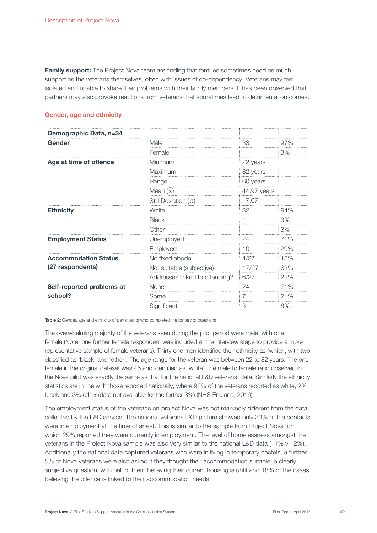Family support: The Project Nova team are finding that families sometimes need as much support as the veterans themselves, often with issues of co-dependency. Veterans may feel isolated and unable to share their problems with their family members. It has been observed that partners may also provoke reactions from veterans that sometimes lead to detrimental outcomes.

#### Gender, age and ethnicity

| Demographic Data, n=34      |                                |             |     |
|-----------------------------|--------------------------------|-------------|-----|
| Gender                      | Male                           | 33          | 97% |
|                             | Female                         |             | 3%  |
| Age at time of offence      | Minimum                        | 22 years    |     |
|                             | Maximum                        | 82 years    |     |
|                             | Range                          | 60 years    |     |
|                             | Mean $(\bar{x})$               | 44.97 years |     |
|                             | Std Deviation $( \sigma )$     | 17.07       |     |
| <b>Ethnicity</b>            | White                          | 32          | 94% |
|                             | <b>Black</b>                   |             | 3%  |
|                             | Other                          |             | 3%  |
| <b>Employment Status</b>    | Unemployed                     | 24          | 71% |
|                             | Employed                       | 10          | 29% |
| <b>Accommodation Status</b> | No fixed abode                 | 4/27        | 15% |
| (27 respondents)            | Not suitable (subjective)      | 17/27       | 63% |
|                             | Addresses linked to offending? | 6/27        | 22% |
| Self-reported problems at   | <b>None</b>                    | 24          | 71% |
| school?                     | Some                           | 7           | 21% |
|                             | Significant                    | 3           | 8%  |

Table 2: Gender, age and ethnicity of participants who completed the battery of questions

The overwhelming majority of the veterans seen during the pilot period were male, with one female (Note: one further female respondent was included at the interview stage to provide a more representative sample of female veterans). Thirty one men identified their ethnicity as 'white', with two classified as 'black' and 'other'. The age range for the veteran was between 22 to 82 years. The one female in the original dataset was 46 and identified as 'white' The male to female ratio observed in the Nova pilot was exactly the same as that for the national L&D veterans' data. Similarly the ethnicity statistics are in line with those reported nationally, where 92% of the veterans reported as white, 2% black and 3% other (data not available for the further 3%) (NHS England, 2016).

The employment status of the veterans on project Nova was not markedly different from the data collected by the L&D service. The national veterans L&D picture showed only 33% of the contacts were in employment at the time of arrest. This is similar to the sample from Project Nova for which 29% reported they were currently in employment. The level of homelessness amongst the veterans in the Project Nova sample was also very similar to the national L&D data (11% v 12%). Additionally the national data captured veterans who were in living in temporary hostels, a further 5% of Nova veterans were also asked if they thought their accommodation suitable, a clearly subjective question, with half of them believing their current housing is unfit and 18% of the cases believing the offence is linked to their accommodation needs.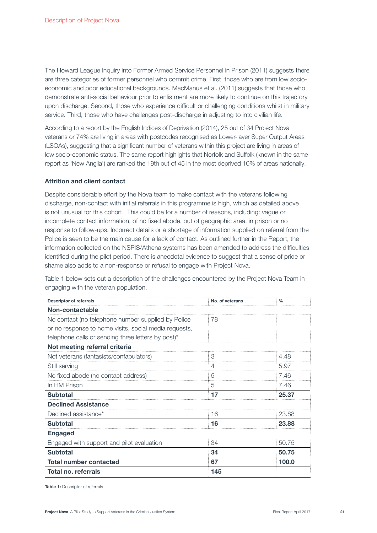The Howard League Inquiry into Former Armed Service Personnel in Prison (2011) suggests there are three categories of former personnel who commit crime. First, those who are from low socioeconomic and poor educational backgrounds. MacManus et al. (2011) suggests that those who demonstrate anti-social behaviour prior to enlistment are more likely to continue on this trajectory upon discharge. Second, those who experience difficult or challenging conditions whilst in military service. Third, those who have challenges post-discharge in adjusting to into civilian life.

According to a report by the English Indices of Deprivation (2014), 25 out of 34 Project Nova veterans or 74% are living in areas with postcodes recognised as Lower-layer Super Output Areas (LSOAs), suggesting that a significant number of veterans within this project are living in areas of low socio-economic status. The same report highlights that Norfolk and Suffolk (known in the same report as 'New Anglia') are ranked the 19th out of 45 in the most deprived 10% of areas nationally.

#### Attrition and client contact

Despite considerable effort by the Nova team to make contact with the veterans following discharge, non-contact with initial referrals in this programme is high, which as detailed above is not unusual for this cohort. This could be for a number of reasons, including: vague or incomplete contact information, of no fixed abode, out of geographic area, in prison or no response to follow-ups. Incorrect details or a shortage of information supplied on referral from the Police is seen to be the main cause for a lack of contact. As outlined further in the Report, the information collected on the NSPIS/Athena systems has been amended to address the difficulties identified during the pilot period. There is anecdotal evidence to suggest that a sense of pride or shame also adds to a non-response or refusal to engage with Project Nova.

Table 1 below sets out a description of the challenges encountered by the Project Nova Team in engaging with the veteran population.

| <b>Descriptor of referrals</b>                        | No. of veterans | $\frac{0}{0}$ |  |
|-------------------------------------------------------|-----------------|---------------|--|
| Non-contactable                                       |                 |               |  |
| No contact (no telephone number supplied by Police    | 78              |               |  |
| or no response to home visits, social media requests, |                 |               |  |
| telephone calls or sending three letters by post)*    |                 |               |  |
| Not meeting referral criteria                         |                 |               |  |
| Not veterans (fantasists/confabulators)               | З               | 4.48          |  |
| Still serving                                         | 4               | 5.97          |  |
| No fixed abode (no contact address)                   | 5               | 7.46          |  |
| In HM Prison                                          | 5               | 7.46          |  |
| <b>Subtotal</b>                                       | 17              | 25.37         |  |
| <b>Declined Assistance</b>                            |                 |               |  |
| Declined assistance*                                  | 16              | 23.88         |  |
| <b>Subtotal</b>                                       | 16              | 23.88         |  |
| <b>Engaged</b>                                        |                 |               |  |
| Engaged with support and pilot evaluation             | 34              | 50.75         |  |
| <b>Subtotal</b>                                       | 34              | 50.75         |  |
| <b>Total number contacted</b>                         | 67              | 100.0         |  |
| Total no. referrals                                   | 145             |               |  |

Table 1: Descriptor of referrals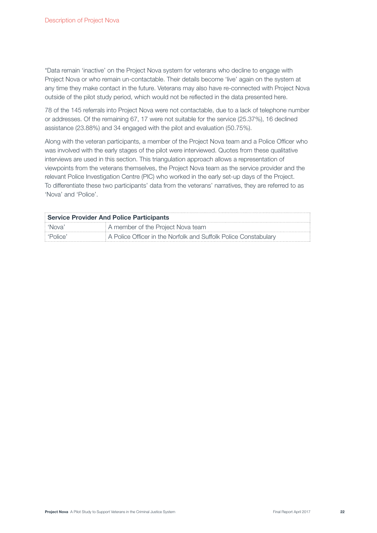\*Data remain 'inactive' on the Project Nova system for veterans who decline to engage with Project Nova or who remain un-contactable. Their details become 'live' again on the system at any time they make contact in the future. Veterans may also have re-connected with Project Nova outside of the pilot study period, which would not be reflected in the data presented here.

78 of the 145 referrals into Project Nova were not contactable, due to a lack of telephone number or addresses. Of the remaining 67, 17 were not suitable for the service (25.37%), 16 declined assistance (23.88%) and 34 engaged with the pilot and evaluation (50.75%).

Along with the veteran participants, a member of the Project Nova team and a Police Officer who was involved with the early stages of the pilot were interviewed. Quotes from these qualitative interviews are used in this section. This triangulation approach allows a representation of viewpoints from the veterans themselves, the Project Nova team as the service provider and the relevant Police Investigation Centre (PIC) who worked in the early set-up days of the Project. To differentiate these two participants' data from the veterans' narratives, they are referred to as 'Nova' and 'Police'.

| <b>Service Provider And Police Participants</b> |                                                                 |  |  |
|-------------------------------------------------|-----------------------------------------------------------------|--|--|
|                                                 | A member of the Project Nova team                               |  |  |
|                                                 | A Police Officer in the Norfolk and Suffolk Police Constabulary |  |  |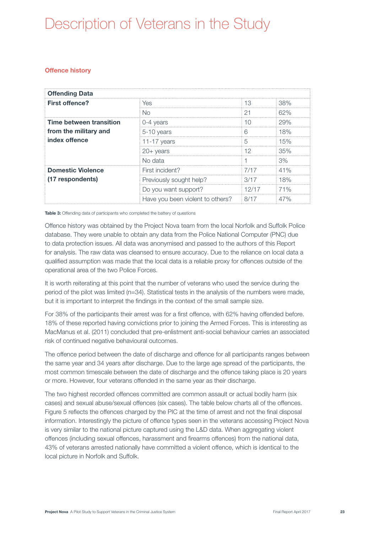# Description of Veterans in the Study

### Offence history

| <b>Offending Data</b>                  |                                  |        |     |
|----------------------------------------|----------------------------------|--------|-----|
| <b>First offence?</b>                  | Yes                              | 13     | 38% |
|                                        | No.                              | 21     | 62% |
| Time between transition                | 0-4 years                        | 10     | 29% |
| from the military and<br>index offence | 5-10 years                       | ട      | 18% |
|                                        | 11-17 years                      | 5      | 15% |
|                                        | $20+$ years                      | 12     | 35% |
|                                        | No data                          |        | 3%  |
| <b>Domestic Violence</b>               | First incident?                  | 7/17   | 41% |
| (17 respondents)                       | Previously sought help?          | 3/17   | 18% |
|                                        | Do you want support?             | 12/17  | 71% |
|                                        | Have you been violent to others? | : 8/17 | 47% |

Table 3: Offending data of participants who completed the battery of questions

Offence history was obtained by the Project Nova team from the local Norfolk and Suffolk Police database. They were unable to obtain any data from the Police National Computer (PNC) due to data protection issues. All data was anonymised and passed to the authors of this Report for analysis. The raw data was cleansed to ensure accuracy. Due to the reliance on local data a qualified assumption was made that the local data is a reliable proxy for offences outside of the operational area of the two Police Forces.

It is worth reiterating at this point that the number of veterans who used the service during the period of the pilot was limited (n=34). Statistical tests in the analysis of the numbers were made, but it is important to interpret the findings in the context of the small sample size.

For 38% of the participants their arrest was for a first offence, with 62% having offended before. 18% of these reported having convictions prior to joining the Armed Forces. This is interesting as MacManus et al. (2011) concluded that pre-enlistment anti-social behaviour carries an associated risk of continued negative behavioural outcomes.

The offence period between the date of discharge and offence for all participants ranges between the same year and 34 years after discharge. Due to the large age spread of the participants, the most common timescale between the date of discharge and the offence taking place is 20 years or more. However, four veterans offended in the same year as their discharge.

The two highest recorded offences committed are common assault or actual bodily harm (six cases) and sexual abuse/sexual offences (six cases). The table below charts all of the offences. Figure 5 reflects the offences charged by the PIC at the time of arrest and not the final disposal information. Interestingly the picture of offence types seen in the veterans accessing Project Nova is very similar to the national picture captured using the L&D data. When aggregating violent offences (including sexual offences, harassment and firearms offences) from the national data, 43% of veterans arrested nationally have committed a violent offence, which is identical to the local picture in Norfolk and Suffolk.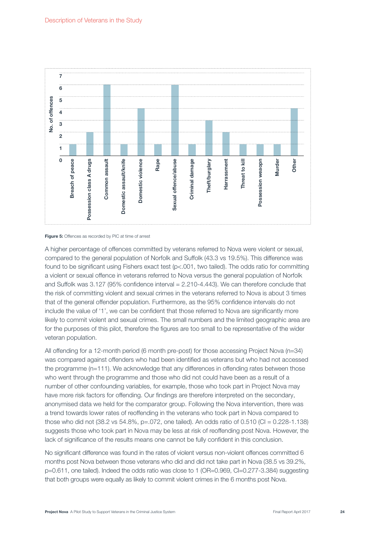



A higher percentage of offences committed by veterans referred to Nova were violent or sexual, compared to the general population of Norfolk and Suffolk (43.3 vs 19.5%). This difference was found to be significant using Fishers exact test (p<.001, two tailed). The odds ratio for committing a violent or sexual offence in veterans referred to Nova versus the general population of Norfolk and Suffolk was 3.127 (95% confidence interval = 2.210-4.443). We can therefore conclude that the risk of committing violent and sexual crimes in the veterans referred to Nova is about 3 times that of the general offender population. Furthermore, as the 95% confidence intervals do not include the value of '1', we can be confident that those referred to Nova are significantly more likely to commit violent and sexual crimes. The small numbers and the limited geographic area are for the purposes of this pilot, therefore the figures are too small to be representative of the wider veteran population.

All offending for a 12-month period (6 month pre-post) for those accessing Project Nova (n=34) was compared against offenders who had been identified as veterans but who had not accessed the programme (n=111). We acknowledge that any differences in offending rates between those who went through the programme and those who did not could have been as a result of a number of other confounding variables, for example, those who took part in Project Nova may have more risk factors for offending. Our findings are therefore interpreted on the secondary, anonymised data we held for the comparator group. Following the Nova intervention, there was a trend towards lower rates of reoffending in the veterans who took part in Nova compared to those who did not (38.2 vs 54.8%, p=.072, one tailed). An odds ratio of 0.510 (CI = 0.228-1.138) suggests those who took part in Nova may be less at risk of reoffending post Nova. However, the lack of significance of the results means one cannot be fully confident in this conclusion.

No significant difference was found in the rates of violent versus non-violent offences committed 6 months post Nova between those veterans who did and did not take part in Nova (38.5 vs 39.2%, p=0.611, one tailed). Indeed the odds ratio was close to 1 (OR=0.969, CI=0.277-3.384) suggesting that both groups were equally as likely to commit violent crimes in the 6 months post Nova.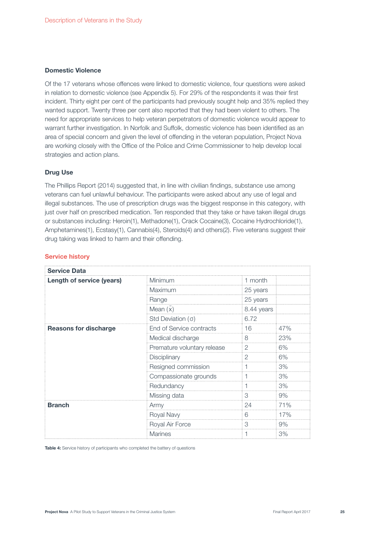#### Domestic Violence

Of the 17 veterans whose offences were linked to domestic violence, four questions were asked in relation to domestic violence (see Appendix 5). For 29% of the respondents it was their first incident. Thirty eight per cent of the participants had previously sought help and 35% replied they wanted support. Twenty three per cent also reported that they had been violent to others. The need for appropriate services to help veteran perpetrators of domestic violence would appear to warrant further investigation. In Norfolk and Suffolk, domestic violence has been identified as an area of special concern and given the level of offending in the veteran population, Project Nova are working closely with the Office of the Police and Crime Commissioner to help develop local strategies and action plans.

#### Drug Use

The Phillips Report (2014) suggested that, in line with civilian findings, substance use among veterans can fuel unlawful behaviour. The participants were asked about any use of legal and illegal substances. The use of prescription drugs was the biggest response in this category, with just over half on prescribed medication. Ten responded that they take or have taken illegal drugs or substances including: Heroin(1), Methadone(1), Crack Cocaine(3), Cocaine Hydrochloride(1), Amphetamines(1), Ecstasy(1), Cannabis(4), Steroids(4) and others(2). Five veterans suggest their drug taking was linked to harm and their offending.

| <b>Service Data</b>          |                             |            |     |
|------------------------------|-----------------------------|------------|-----|
| Length of service (years)    | Minimum                     | 1 month    |     |
|                              | Maximum                     | 25 years   |     |
|                              | Range                       | 25 years   |     |
|                              | Mean $(x)$                  | 8.44 years |     |
|                              | Std Deviation $( \sigma )$  | 6.72       |     |
| <b>Reasons for discharge</b> | End of Service contracts    | 16         | 47% |
|                              | Medical discharge           | 8          | 23% |
|                              | Premature voluntary release | 2          | 6%  |
|                              | Disciplinary                | 2          | 6%  |
|                              | Resigned commission         |            | 3%  |
|                              | Compassionate grounds       |            | 3%  |
|                              | Redundancy                  |            | 3%  |
|                              | Missing data                | 3          | 9%  |
| <b>Branch</b>                | Army                        | 24         | 71% |
|                              | Royal Navy                  | 6          | 17% |
|                              | Royal Air Force             | 3          | 9%  |
|                              | <b>Marines</b>              |            | 3%  |

#### Service history

Table 4: Service history of participants who completed the battery of questions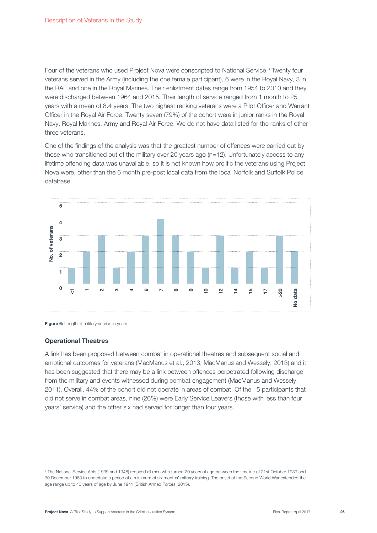Four of the veterans who used Project Nova were conscripted to National Service.<sup>3</sup> Twenty four veterans served in the Army (including the one female participant), 6 were in the Royal Navy, 3 in the RAF and one in the Royal Marines. Their enlistment dates range from 1954 to 2010 and they were discharged between 1964 and 2015. Their length of service ranged from 1 month to 25 years with a mean of 8.4 years. The two highest ranking veterans were a Pilot Officer and Warrant Officer in the Royal Air Force. Twenty seven (79%) of the cohort were in junior ranks in the Royal Navy, Royal Marines, Army and Royal Air Force. We do not have data listed for the ranks of other three veterans.

One of the findings of the analysis was that the greatest number of offences were carried out by those who transitioned out of the military over 20 years ago (n=12). Unfortunately access to any lifetime offending data was unavailable, so it is not known how prolific the veterans using Project Nova were, other than the 6 month pre-post local data from the local Norfolk and Suffolk Police database.





#### Operational Theatres

A link has been proposed between combat in operational theatres and subsequent social and emotional outcomes for veterans (MacManus et al., 2013; MacManus and Wessely, 2013) and it has been suggested that there may be a link between offences perpetrated following discharge from the military and events witnessed during combat engagement (MacManus and Wessely, 2011). Overall, 44% of the cohort did not operate in areas of combat. Of the 15 participants that did not serve in combat areas, nine (26%) were Early Service Leavers (those with less than four years' service) and the other six had served for longer than four years.

<sup>&</sup>lt;sup>3</sup> The National Service Acts (1939 and 1948) required all men who turned 20 years of age between the timeline of 21st October 1939 and 30 December 1963 to undertake a period of a minimum of six months' military training. The onset of the Second World War extended the age range up to 40 years of age by June 1941 (British Armed Forces, 2015).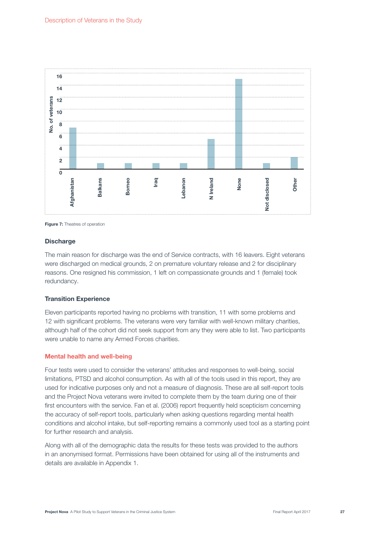

**Figure 7:** Theatres of operation

#### **Discharge**

The main reason for discharge was the end of Service contracts, with 16 leavers. Eight veterans were discharged on medical grounds, 2 on premature voluntary release and 2 for disciplinary reasons. One resigned his commission, 1 left on compassionate grounds and 1 (female) took redundancy.

#### Transition Experience

Eleven participants reported having no problems with transition, 11 with some problems and 12 with significant problems. The veterans were very familiar with well-known military charities, although half of the cohort did not seek support from any they were able to list. Two participants were unable to name any Armed Forces charities.

#### Mental health and well-being

Four tests were used to consider the veterans' attitudes and responses to well-being, social limitations, PTSD and alcohol consumption. As with all of the tools used in this report, they are used for indicative purposes only and not a measure of diagnosis. These are all self-report tools and the Project Nova veterans were invited to complete them by the team during one of their first encounters with the service. Fan et al. (2006) report frequently held scepticism concerning the accuracy of self-report tools, particularly when asking questions regarding mental health conditions and alcohol intake, but self-reporting remains a commonly used tool as a starting point for further research and analysis.

Along with all of the demographic data the results for these tests was provided to the authors in an anonymised format. Permissions have been obtained for using all of the instruments and details are available in Appendix 1.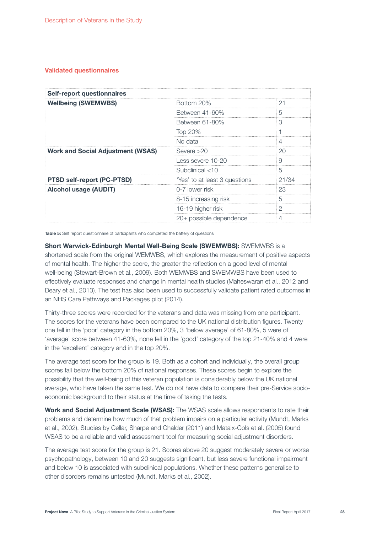### Validated questionnaires

| <b>Self-report questionnaires</b>        |                               |       |  |
|------------------------------------------|-------------------------------|-------|--|
| <b>Wellbeing (SWEMWBS)</b>               | Bottom 20%                    | 21    |  |
|                                          | Between 41-60%                | 5     |  |
|                                          | Between 61-80%                | 3     |  |
|                                          | Top 20%                       |       |  |
|                                          | No data                       | 4     |  |
| <b>Work and Social Adjustment (WSAS)</b> | Severe $>20$                  | 20    |  |
|                                          | Less severe 10-20             | 9     |  |
|                                          | Subclinical $<$ 10            | 5     |  |
| <b>PTSD self-report (PC-PTSD)</b>        | 'Yes' to at least 3 questions | 21/34 |  |
| <b>Alcohol usage (AUDIT)</b>             | 0-7 lower risk                | 23    |  |
|                                          | 8-15 increasing risk          | 5     |  |
|                                          | 16-19 higher risk             | 2     |  |
|                                          | 20+ possible dependence       |       |  |

Table 5: Self report questionnaire of participants who completed the battery of questions

Short Warwick-Edinburgh Mental Well-Being Scale (SWEMWBS): SWEMWBS is a shortened scale from the original WEMWBS, which explores the measurement of positive aspects of mental health. The higher the score, the greater the reflection on a good level of mental well-being (Stewart-Brown et al., 2009). Both WEMWBS and SWEMWBS have been used to effectively evaluate responses and change in mental health studies (Maheswaran et al., 2012 and Deary et al., 2013). The test has also been used to successfully validate patient rated outcomes in an NHS Care Pathways and Packages pilot (2014).

Thirty-three scores were recorded for the veterans and data was missing from one participant. The scores for the veterans have been compared to the UK national distribution figures. Twenty one fell in the 'poor' category in the bottom 20%, 3 'below average' of 61-80%, 5 were of 'average' score between 41-60%, none fell in the 'good' category of the top 21-40% and 4 were in the 'excellent' category and in the top 20%.

The average test score for the group is 19. Both as a cohort and individually, the overall group scores fall below the bottom 20% of national responses. These scores begin to explore the possibility that the well-being of this veteran population is considerably below the UK national average, who have taken the same test. We do not have data to compare their pre-Service socioeconomic background to their status at the time of taking the tests.

Work and Social Adjustment Scale (WSAS): The WSAS scale allows respondents to rate their problems and determine how much of that problem impairs on a particular activity (Mundt, Marks et al., 2002). Studies by Cellar, Sharpe and Chalder (2011) and Mataix-Cols et al. (2005) found WSAS to be a reliable and valid assessment tool for measuring social adjustment disorders.

The average test score for the group is 21. Scores above 20 suggest moderately severe or worse psychopathology, between 10 and 20 suggests significant, but less severe functional impairment and below 10 is associated with subclinical populations. Whether these patterns generalise to other disorders remains untested (Mundt, Marks et al., 2002).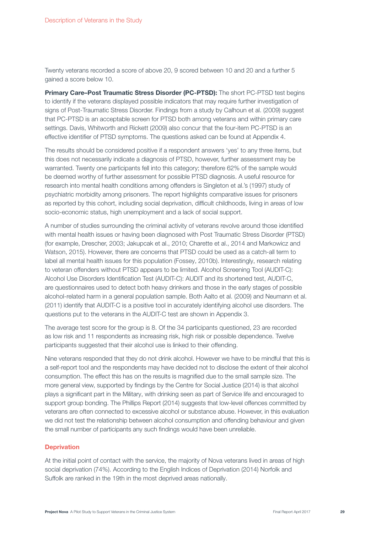Twenty veterans recorded a score of above 20, 9 scored between 10 and 20 and a further 5 gained a score below 10.

Primary Care-Post Traumatic Stress Disorder (PC-PTSD): The short PC-PTSD test begins to identify if the veterans displayed possible indicators that may require further investigation of signs of Post-Traumatic Stress Disorder. Findings from a study by Calhoun et al. (2009) suggest that PC-PTSD is an acceptable screen for PTSD both among veterans and within primary care settings. Davis, Whitworth and Rickett (2009) also concur that the four-item PC-PTSD is an effective identifier of PTSD symptoms. The questions asked can be found at Appendix 4.

The results should be considered positive if a respondent answers 'yes' to any three items, but this does not necessarily indicate a diagnosis of PTSD, however, further assessment may be warranted. Twenty one participants fell into this category; therefore 62% of the sample would be deemed worthy of further assessment for possible PTSD diagnosis. A useful resource for research into mental health conditions among offenders is Singleton et al.'s (1997) study of psychiatric morbidity among prisoners. The report highlights comparative issues for prisoners as reported by this cohort, including social deprivation, difficult childhoods, living in areas of low socio-economic status, high unemployment and a lack of social support.

A number of studies surrounding the criminal activity of veterans revolve around those identified with mental health issues or having been diagnosed with Post Traumatic Stress Disorder (PTSD) (for example, Drescher, 2003; Jakupcak et al., 2010; Charette et al., 2014 and Markowicz and Watson, 2015). However, there are concerns that PTSD could be used as a catch-all term to label all mental health issues for this population (Fossey, 2010b). Interestingly, research relating to veteran offenders without PTSD appears to be limited. Alcohol Screening Tool (AUDIT-C): Alcohol Use Disorders Identification Test (AUDIT-C): AUDIT and its shortened test, AUDIT-C, are questionnaires used to detect both heavy drinkers and those in the early stages of possible alcohol-related harm in a general population sample. Both Aalto et al. (2009) and Neumann et al. (2011) identify that AUDIT-C is a positive tool in accurately identifying alcohol use disorders. The questions put to the veterans in the AUDIT-C test are shown in Appendix 3.

The average test score for the group is 8. Of the 34 participants questioned, 23 are recorded as low risk and 11 respondents as increasing risk, high risk or possible dependence. Twelve participants suggested that their alcohol use is linked to their offending.

Nine veterans responded that they do not drink alcohol. However we have to be mindful that this is a self-report tool and the respondents may have decided not to disclose the extent of their alcohol consumption. The effect this has on the results is magnified due to the small sample size. The more general view, supported by findings by the Centre for Social Justice (2014) is that alcohol plays a significant part in the Military, with drinking seen as part of Service life and encouraged to support group bonding. The Phillips Report (2014) suggests that low-level offences committed by veterans are often connected to excessive alcohol or substance abuse. However, in this evaluation we did not test the relationship between alcohol consumption and offending behaviour and given the small number of participants any such findings would have been unreliable.

#### **Deprivation**

At the initial point of contact with the service, the majority of Nova veterans lived in areas of high social deprivation (74%). According to the English Indices of Deprivation (2014) Norfolk and Suffolk are ranked in the 19th in the most deprived areas nationally.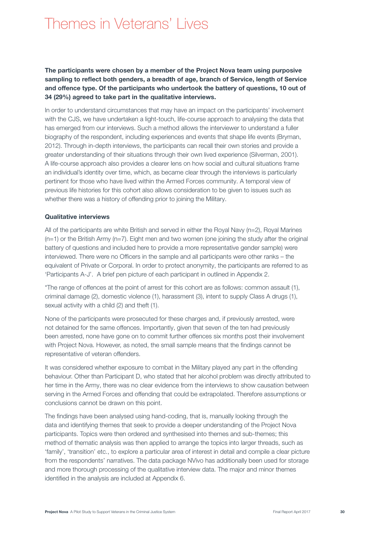# Themes in Veterans' Lives

The participants were chosen by a member of the Project Nova team using purposive sampling to reflect both genders, a breadth of age, branch of Service, length of Service and offence type. Of the participants who undertook the battery of questions, 10 out of 34 (29%) agreed to take part in the qualitative interviews.

In order to understand circumstances that may have an impact on the participants' involvement with the CJS, we have undertaken a light-touch, life-course approach to analysing the data that has emerged from our interviews. Such a method allows the interviewer to understand a fuller biography of the respondent, including experiences and events that shape life events (Bryman, 2012). Through in-depth interviews, the participants can recall their own stories and provide a greater understanding of their situations through their own lived experience (Silverman, 2001). A life-course approach also provides a clearer lens on how social and cultural situations frame an individual's identity over time, which, as became clear through the interviews is particularly pertinent for those who have lived within the Armed Forces community. A temporal view of previous life histories for this cohort also allows consideration to be given to issues such as whether there was a history of offending prior to joining the Military.

#### Qualitative interviews

All of the participants are white British and served in either the Royal Navy (n=2), Royal Marines  $(n=1)$  or the British Army  $(n=7)$ . Eight men and two women (one joining the study after the original battery of questions and included here to provide a more representative gender sample) were interviewed. There were no Officers in the sample and all participants were other ranks – the equivalent of Private or Corporal. In order to protect anonymity, the participants are referred to as 'Participants A-J'. A brief pen picture of each participant in outlined in Appendix 2.

\*The range of offences at the point of arrest for this cohort are as follows: common assault (1), criminal damage (2), domestic violence (1), harassment (3), intent to supply Class A drugs (1), sexual activity with a child (2) and theft (1).

None of the participants were prosecuted for these charges and, if previously arrested, were not detained for the same offences. Importantly, given that seven of the ten had previously been arrested, none have gone on to commit further offences six months post their involvement with Project Nova. However, as noted, the small sample means that the findings cannot be representative of veteran offenders.

It was considered whether exposure to combat in the Military played any part in the offending behaviour. Other than Participant D, who stated that her alcohol problem was directly attributed to her time in the Army, there was no clear evidence from the interviews to show causation between serving in the Armed Forces and offending that could be extrapolated. Therefore assumptions or conclusions cannot be drawn on this point.

The findings have been analysed using hand-coding, that is, manually looking through the data and identifying themes that seek to provide a deeper understanding of the Project Nova participants. Topics were then ordered and synthesised into themes and sub-themes; this method of thematic analysis was then applied to arrange the topics into larger threads, such as 'family', 'transition' etc., to explore a particular area of interest in detail and compile a clear picture from the respondents' narratives. The data package NVivo has additionally been used for storage and more thorough processing of the qualitative interview data. The major and minor themes identified in the analysis are included at Appendix 6.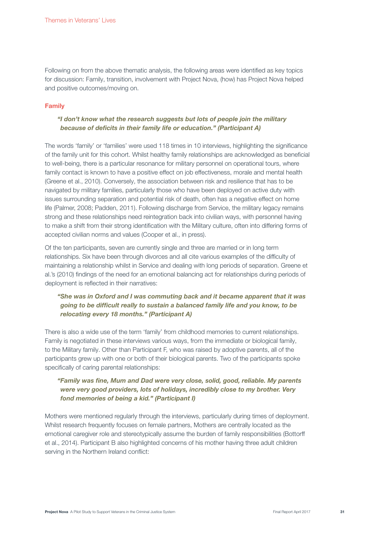Following on from the above thematic analysis, the following areas were identified as key topics for discussion: Family, transition, involvement with Project Nova, (how) has Project Nova helped and positive outcomes/moving on.

#### Family

### "I don't know what the research suggests but lots of people join the military because of deficits in their family life or education." (Participant A)

The words 'family' or 'families' were used 118 times in 10 interviews, highlighting the significance of the family unit for this cohort. Whilst healthy family relationships are acknowledged as beneficial to well-being, there is a particular resonance for military personnel on operational tours, where family contact is known to have a positive effect on job effectiveness, morale and mental health (Greene et al., 2010). Conversely, the association between risk and resilience that has to be navigated by military families, particularly those who have been deployed on active duty with issues surrounding separation and potential risk of death, often has a negative effect on home life (Palmer, 2008; Padden, 2011). Following discharge from Service, the military legacy remains strong and these relationships need reintegration back into civilian ways, with personnel having to make a shift from their strong identification with the Military culture, often into differing forms of accepted civilian norms and values (Cooper et al., in press).

Of the ten participants, seven are currently single and three are married or in long term relationships. Six have been through divorces and all cite various examples of the difficulty of maintaining a relationship whilst in Service and dealing with long periods of separation. Greene et al.'s (2010) findings of the need for an emotional balancing act for relationships during periods of deployment is reflected in their narratives:

## "She was in Oxford and I was commuting back and it became apparent that it was going to be difficult really to sustain a balanced family life and you know, to be relocating every 18 months." (Participant A)

There is also a wide use of the term 'family' from childhood memories to current relationships. Family is negotiated in these interviews various ways, from the immediate or biological family, to the Military family. Other than Participant F, who was raised by adoptive parents, all of the participants grew up with one or both of their biological parents. Two of the participants spoke specifically of caring parental relationships:

### "Family was fine, Mum and Dad were very close, solid, good, reliable. My parents were very good providers, lots of holidays, incredibly close to my brother. Very fond memories of being a kid." (Participant I)

Mothers were mentioned regularly through the interviews, particularly during times of deployment. Whilst research frequently focuses on female partners, Mothers are centrally located as the emotional caregiver role and stereotypically assume the burden of family responsibilities (Bottorff et al., 2014). Participant B also highlighted concerns of his mother having three adult children serving in the Northern Ireland conflict: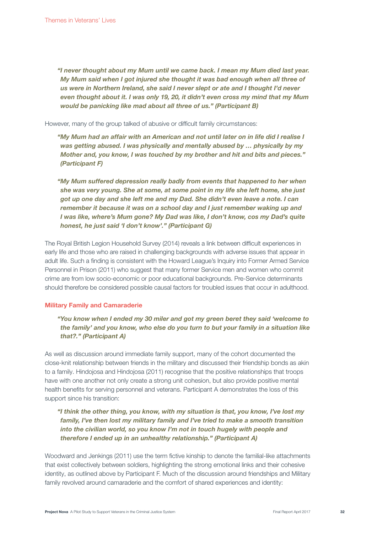"I never thought about my Mum until we came back. I mean my Mum died last year. My Mum said when I got injured she thought it was bad enough when all three of us were in Northern Ireland, she said I never slept or ate and I thought I'd never even thought about it. I was only 19, 20, it didn't even cross my mind that my Mum would be panicking like mad about all three of us." (Participant B)

However, many of the group talked of abusive or difficult family circumstances:

"My Mum had an affair with an American and not until later on in life did I realise I was getting abused. I was physically and mentally abused by ... physically by my Mother and, you know, I was touched by my brother and hit and bits and pieces." (Participant F)

"My Mum suffered depression really badly from events that happened to her when she was very young. She at some, at some point in my life she left home, she just got up one day and she left me and my Dad. She didn't even leave a note. I can remember it because it was on a school day and I just remember waking up and I was like, where's Mum gone? My Dad was like, I don't know, cos my Dad's quite honest, he just said 'I don't know'." (Participant G)

The Royal British Legion Household Survey (2014) reveals a link between difficult experiences in early life and those who are raised in challenging backgrounds with adverse issues that appear in adult life. Such a finding is consistent with the Howard League's Inquiry into Former Armed Service Personnel in Prison (2011) who suggest that many former Service men and women who commit crime are from low socio-economic or poor educational backgrounds. Pre-Service determinants should therefore be considered possible causal factors for troubled issues that occur in adulthood.

#### Military Family and Camaraderie

"You know when I ended my 30 miler and got my green beret they said 'welcome to the family' and you know, who else do you turn to but your family in a situation like that?." (Participant A)

As well as discussion around immediate family support, many of the cohort documented the close-knit relationship between friends in the military and discussed their friendship bonds as akin to a family. Hindojosa and Hindojosa (2011) recognise that the positive relationships that troops have with one another not only create a strong unit cohesion, but also provide positive mental health benefits for serving personnel and veterans. Participant A demonstrates the loss of this support since his transition:

### "I think the other thing, you know, with my situation is that, you know, I've lost my family, I've then lost my military family and I've tried to make a smooth transition into the civilian world, so you know I'm not in touch hugely with people and therefore I ended up in an unhealthy relationship." (Participant A)

Woodward and Jenkings (2011) use the term fictive kinship to denote the familial-like attachments that exist collectively between soldiers, highlighting the strong emotional links and their cohesive identity, as outlined above by Participant F. Much of the discussion around friendships and Military family revolved around camaraderie and the comfort of shared experiences and identity: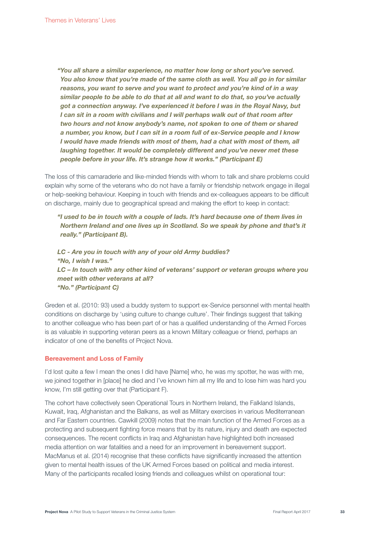"You all share a similar experience, no matter how long or short you've served. You also know that you're made of the same cloth as well. You all go in for similar reasons, you want to serve and you want to protect and you're kind of in a way similar people to be able to do that at all and want to do that, so you've actually got a connection anyway. I've experienced it before I was in the Royal Navy, but I can sit in a room with civilians and I will perhaps walk out of that room after two hours and not know anybody's name, not spoken to one of them or shared a number, you know, but I can sit in a room full of ex-Service people and I know I would have made friends with most of them, had a chat with most of them, all laughing together. It would be completely different and you've never met these people before in your life. It's strange how it works." (Participant E)

The loss of this camaraderie and like-minded friends with whom to talk and share problems could explain why some of the veterans who do not have a family or friendship network engage in illegal or help-seeking behaviour. Keeping in touch with friends and ex-colleagues appears to be difficult on discharge, mainly due to geographical spread and making the effort to keep in contact:

"I used to be in touch with a couple of lads. It's hard because one of them lives in Northern Ireland and one lives up in Scotland. So we speak by phone and that's it really." (Participant B).

LC - Are you in touch with any of your old Army buddies? "No, I wish I was." LC – In touch with any other kind of veterans' support or veteran groups where you meet with other veterans at all? "No." (Participant C)

Greden et al. (2010: 93) used a buddy system to support ex-Service personnel with mental health conditions on discharge by 'using culture to change culture'. Their findings suggest that talking to another colleague who has been part of or has a qualified understanding of the Armed Forces is as valuable in supporting veteran peers as a known Military colleague or friend, perhaps an indicator of one of the benefits of Project Nova.

#### Bereavement and Loss of Family

I'd lost quite a few I mean the ones I did have [Name] who, he was my spotter, he was with me, we joined together in [place] he died and I've known him all my life and to lose him was hard you know, I'm still getting over that (Participant F).

The cohort have collectively seen Operational Tours in Northern Ireland, the Falkland Islands, Kuwait, Iraq, Afghanistan and the Balkans, as well as Military exercises in various Mediterranean and Far Eastern countries. Cawkill (2009) notes that the main function of the Armed Forces as a protecting and subsequent fighting force means that by its nature, injury and death are expected consequences. The recent conflicts in Iraq and Afghanistan have highlighted both increased media attention on war fatalities and a need for an improvement in bereavement support. MacManus et al. (2014) recognise that these conflicts have significantly increased the attention given to mental health issues of the UK Armed Forces based on political and media interest. Many of the participants recalled losing friends and colleagues whilst on operational tour: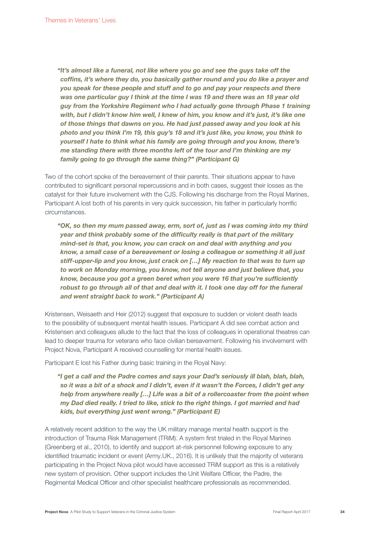"It's almost like a funeral, not like where you go and see the guys take off the coffins, it's where they do, you basically gather round and you do like a prayer and you speak for these people and stuff and to go and pay your respects and there was one particular guy I think at the time I was 19 and there was an 18 year old guy from the Yorkshire Regiment who I had actually gone through Phase 1 training with, but I didn't know him well, I knew of him, you know and it's just, it's like one of those things that dawns on you. He had just passed away and you look at his photo and you think I'm 19, this guy's 18 and it's just like, you know, you think to yourself I hate to think what his family are going through and you know, there's me standing there with three months left of the tour and I'm thinking are my family going to go through the same thing?" (Participant G)

Two of the cohort spoke of the bereavement of their parents. Their situations appear to have contributed to significant personal repercussions and in both cases, suggest their losses as the catalyst for their future involvement with the CJS. Following his discharge from the Royal Marines, Participant A lost both of his parents in very quick succession, his father in particularly horrific circumstances.

"OK, so then my mum passed away, erm, sort of, just as I was coming into my third year and think probably some of the difficulty really is that part of the military mind-set is that, you know, you can crack on and deal with anything and you know, a small case of a bereavement or losing a colleague or something it all just stiff-upper-lip and you know, just crack on […] My reaction to that was to turn up to work on Monday morning, you know, not tell anyone and just believe that, you know, because you got a green beret when you were 16 that you're sufficiently robust to go through all of that and deal with it. I took one day off for the funeral and went straight back to work." (Participant A)

Kristensen, Weisaeth and Heir (2012) suggest that exposure to sudden or violent death leads to the possibility of subsequent mental health issues. Participant A did see combat action and Kristensen and colleagues allude to the fact that the loss of colleagues in operational theatres can lead to deeper trauma for veterans who face civilian bereavement. Following his involvement with Project Nova, Participant A received counselling for mental health issues.

Participant E lost his Father during basic training in the Royal Navy:

"I get a call and the Padre comes and says your Dad's seriously ill blah, blah, blah, so it was a bit of a shock and I didn't, even if it wasn't the Forces, I didn't get any help from anywhere really [...] Life was a bit of a rollercoaster from the point when my Dad died really. I tried to like, stick to the right things. I got married and had kids, but everything just went wrong." (Participant E)

A relatively recent addition to the way the UK military manage mental health support is the introduction of Trauma Risk Management (TRiM). A system first trialed in the Royal Marines (Greenberg et al., 2010), to identify and support at-risk personnel following exposure to any identified traumatic incident or event (Army.UK., 2016). It is unlikely that the majority of veterans participating in the Project Nova pilot would have accessed TRiM support as this is a relatively new system of provision. Other support includes the Unit Welfare Officer, the Padre, the Regimental Medical Officer and other specialist healthcare professionals as recommended.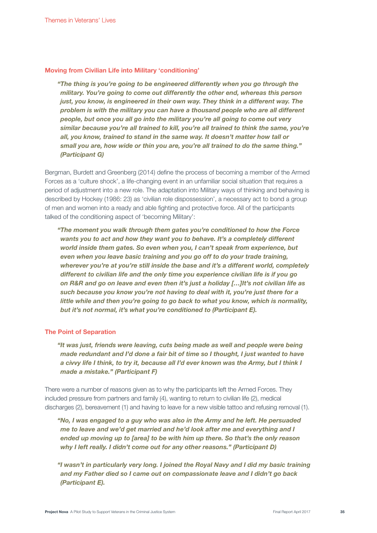#### Moving from Civilian Life into Military 'conditioning'

"The thing is you're going to be engineered differently when you go through the military. You're going to come out differently the other end, whereas this person just, you know, is engineered in their own way. They think in a different way. The problem is with the military you can have a thousand people who are all different people, but once you all go into the military you're all going to come out very similar because you're all trained to kill, you're all trained to think the same, you're all, you know, trained to stand in the same way. It doesn't matter how tall or small you are, how wide or thin you are, you're all trained to do the same thing." (Participant G)

Bergman, Burdett and Greenberg (2014) define the process of becoming a member of the Armed Forces as a 'culture shock', a life-changing event in an unfamiliar social situation that requires a period of adjustment into a new role. The adaptation into Military ways of thinking and behaving is described by Hockey (1986: 23) as 'civilian role dispossession', a necessary act to bond a group of men and women into a ready and able fighting and protective force. All of the participants talked of the conditioning aspect of 'becoming Military':

"The moment you walk through them gates you're conditioned to how the Force wants you to act and how they want you to behave. It's a completely different world inside them gates. So even when you, I can't speak from experience, but even when you leave basic training and you go off to do your trade training, wherever you're at you're still inside the base and it's a different world, completely different to civilian life and the only time you experience civilian life is if you go on R&R and go on leave and even then it's just a holiday […]It's not civilian life as such because you know you're not having to deal with it, you're just there for a little while and then you're going to go back to what you know, which is normality, but it's not normal, it's what you're conditioned to (Participant E).

#### The Point of Separation

"It was just, friends were leaving, cuts being made as well and people were being made redundant and I'd done a fair bit of time so I thought, I just wanted to have a civvy life I think, to try it, because all I'd ever known was the Army, but I think I made a mistake." (Participant F)

There were a number of reasons given as to why the participants left the Armed Forces. They included pressure from partners and family (4), wanting to return to civilian life (2), medical discharges (2), bereavement (1) and having to leave for a new visible tattoo and refusing removal (1).

"No, I was engaged to a guy who was also in the Army and he left. He persuaded me to leave and we'd get married and he'd look after me and everything and I ended up moving up to [area] to be with him up there. So that's the only reason why I left really. I didn't come out for any other reasons." (Participant D)

"I wasn't in particularly very long. I joined the Royal Navy and I did my basic training and my Father died so I came out on compassionate leave and I didn't go back (Participant E).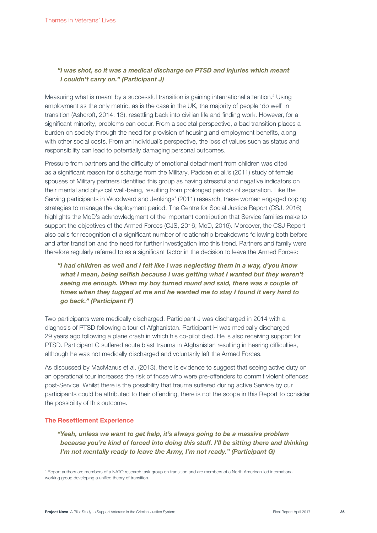### "I was shot, so it was a medical discharge on PTSD and injuries which meant I couldn't carry on." (Participant J)

Measuring what is meant by a successful transition is gaining international attention.<sup>4</sup> Using employment as the only metric, as is the case in the UK, the majority of people 'do well' in transition (Ashcroft, 2014: 13), resettling back into civilian life and finding work. However, for a significant minority, problems can occur. From a societal perspective, a bad transition places a burden on society through the need for provision of housing and employment benefits, along with other social costs. From an individual's perspective, the loss of values such as status and responsibility can lead to potentially damaging personal outcomes.

Pressure from partners and the difficulty of emotional detachment from children was cited as a significant reason for discharge from the Military. Padden et al.'s (2011) study of female spouses of Military partners identified this group as having stressful and negative indicators on their mental and physical well-being, resulting from prolonged periods of separation. Like the Serving participants in Woodward and Jenkings' (2011) research, these women engaged coping strategies to manage the deployment period. The Centre for Social Justice Report (CSJ, 2016) highlights the MoD's acknowledgment of the important contribution that Service families make to support the objectives of the Armed Forces (CJS, 2016; MoD, 2016). Moreover, the CSJ Report also calls for recognition of a significant number of relationship breakdowns following both before and after transition and the need for further investigation into this trend. Partners and family were therefore regularly referred to as a significant factor in the decision to leave the Armed Forces:

"I had children as well and I felt like I was neglecting them in a way, d'you know what I mean, being selfish because I was getting what I wanted but they weren't seeing me enough. When my boy turned round and said, there was a couple of times when they tugged at me and he wanted me to stay I found it very hard to go back." (Participant F)

Two participants were medically discharged. Participant J was discharged in 2014 with a diagnosis of PTSD following a tour of Afghanistan. Participant H was medically discharged 29 years ago following a plane crash in which his co-pilot died. He is also receiving support for PTSD. Participant G suffered acute blast trauma in Afghanistan resulting in hearing difficulties, although he was not medically discharged and voluntarily left the Armed Forces.

As discussed by MacManus et al. (2013), there is evidence to suggest that seeing active duty on an operational tour increases the risk of those who were pre-offenders to commit violent offences post-Service. Whilst there is the possibility that trauma suffered during active Service by our participants could be attributed to their offending, there is not the scope in this Report to consider the possibility of this outcome.

#### The Resettlement Experience

"Yeah, unless we want to get help, it's always going to be a massive problem because you're kind of forced into doing this stuff. I'll be sitting there and thinking I'm not mentally ready to leave the Army, I'm not ready." (Participant G)

4 Report authors are members of a NATO research task group on transition and are members of a North American-led international working group developing a unified theory of transition.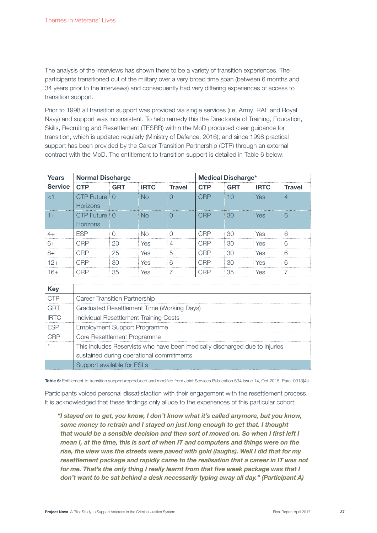The analysis of the interviews has shown there to be a variety of transition experiences. The participants transitioned out of the military over a very broad time span (between 6 months and 34 years prior to the interviews) and consequently had very differing experiences of access to transition support.

Prior to 1998 all transition support was provided via single services (i.e. Army, RAF and Royal Navy) and support was inconsistent. To help remedy this the Directorate of Training, Education, Skills, Recruiting and Resettlement (TESRR) within the MoD produced clear guidance for transition, which is updated regularly (Ministry of Defence, 2016), and since 1998 practical support has been provided by the Career Transition Partnership (CTP) through an external contract with the MoD. The entitlement to transition support is detailed in Table 6 below:

| <b>Years</b>   | <b>Normal Discharge</b>          |            |             |               | <b>Medical Discharge*</b> |            |             |                |
|----------------|----------------------------------|------------|-------------|---------------|---------------------------|------------|-------------|----------------|
| <b>Service</b> | <b>CTP</b>                       | <b>GRT</b> | <b>IRTC</b> | <b>Travel</b> | <b>CTP</b>                | <b>GRT</b> | <b>IRTC</b> | <b>Travel</b>  |
| ا ح            | CTP Future 10<br><b>Horizons</b> |            | No          |               | CRP                       | 10         | <b>Yes</b>  | $\overline{4}$ |
| $+1$           | CTP Future 10<br><b>Horizons</b> |            | <b>No</b>   | $\bigcap$     | CRP                       | 30         | Yes         | 6              |
| $4+$           | <b>FSP</b>                       |            | No.         |               | CRP                       | 30         | Yes         | 6              |
| $6+$           | CRP                              | 20         | Yes         | 4             | CRP                       | -30        | Yes         | 6              |
| $8+$           | CRP                              | 25         | Yes         | 5             | CRP                       | 30         | Yes         | 6              |
| $12+$          | CRP                              | 30         | Yes         | 6             | CRP                       | 30         | Yes         | 6              |
| 16+            | CRP                              | 35         | Yes         |               | CRP                       | 35         | Yes         |                |

| Kev         |                                                                             |
|-------------|-----------------------------------------------------------------------------|
| OTP         | Career Transition Partnership                                               |
| GRT         | Graduated Resettlement Time (Working Days)                                  |
| <b>IRTC</b> | Individual Resettlement Training Costs                                      |
| <b>FSP</b>  | <b>Employment Support Programme</b>                                         |
|             | Core Resettlement Programme                                                 |
|             | This includes Reservists who have been medically discharged due to injuries |
|             | sustained during operational commitments                                    |
|             | Support available for ESLs                                                  |

Table 6: Entitlement to transition support (reproduced and modified from Joint Services Publication 534 Issue 14, Oct 2015, Para. 0313[4]).

Participants voiced personal dissatisfaction with their engagement with the resettlement process. It is acknowledged that these findings only allude to the experiences of this particular cohort:

"I stayed on to get, you know, I don't know what it's called anymore, but you know, some money to retrain and I stayed on just long enough to get that. I thought that would be a sensible decision and then sort of moved on. So when I first left I mean I, at the time, this is sort of when IT and computers and things were on the rise, the view was the streets were paved with gold (laughs). Well I did that for my resettlement package and rapidly came to the realisation that a career in IT was not for me. That's the only thing I really learnt from that five week package was that I don't want to be sat behind a desk necessarily typing away all day." (Participant A)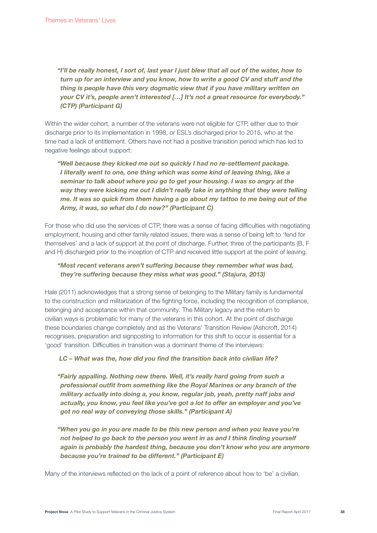"I'll be really honest, I sort of, last year I just blew that all out of the water, how to turn up for an interview and you know, how to write a good CV and stuff and the thing is people have this very dogmatic view that if you have military written on your CV it's, people aren't interested […] It's not a great resource for everybody." (CTP) (Participant G)

Within the wider cohort, a number of the veterans were not eligible for CTP, either due to their discharge prior to its implementation in 1998, or ESL's discharged prior to 2015, who at the time had a lack of entitlement. Others have not had a positive transition period which has led to negative feelings about support:

# "Well because they kicked me out so quickly I had no re-settlement package. I literally went to one, one thing which was some kind of leaving thing, like a seminar to talk about where you go to get your housing. I was so angry at the way they were kicking me out I didn't really take in anything that they were telling me. It was so quick from them having a go about my tattoo to me being out of the Army, it was, so what do I do now?" (Participant C)

For those who did use the services of CTP, there was a sense of facing difficulties with negotiating employment, housing and other family related issues, there was a sense of being left to 'fend for themselves' and a lack of support at the point of discharge. Further, three of the participants (B, F and H) discharged prior to the inception of CTP and received little support at the point of leaving.

### "Most recent veterans aren't suffering because they remember what was bad, they're suffering because they miss what was good." (Stajura, 2013)

Hale (2011) acknowledges that a strong sense of belonging to the Military family is fundamental to the construction and militarization of the fighting force, including the recognition of compliance, belonging and acceptance within that community. The Military legacy and the return to civilian ways is problematic for many of the veterans in this cohort. At the point of discharge these boundaries change completely and as the Veterans' Transition Review (Ashcroft, 2014) recognises, preparation and signposting to information for this shift to occur is essential for a 'good' transition. Difficulties in transition was a dominant theme of the interviews:

### LC – What was the, how did you find the transition back into civilian life?

"Fairly appalling. Nothing new there. Well, it's really hard going from such a professional outfit from something like the Royal Marines or any branch of the military actually into doing a, you know, regular job, yeah, pretty naff jobs and actually, you know, you feel like you've got a lot to offer an employer and you've got no real way of conveying those skills." (Participant A)

"When you go in you are made to be this new person and when you leave you're not helped to go back to the person you went in as and I think finding yourself again is probably the hardest thing, because you don't know who you are anymore because you're trained to be different." (Participant E)

Many of the interviews reflected on the lack of a point of reference about how to 'be' a civilian.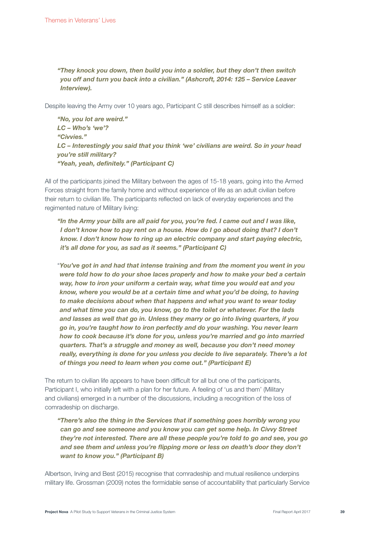"They knock you down, then build you into a soldier, but they don't then switch you off and turn you back into a civilian." (Ashcroft, 2014: 125 – Service Leaver Interview).

Despite leaving the Army over 10 years ago, Participant C still describes himself as a soldier:

"No, you lot are weird." LC – Who's 'we'? "Civvies." LC – Interestingly you said that you think 'we' civilians are weird. So in your head you're still military? "Yeah, yeah, definitely." (Participant C)

All of the participants joined the Military between the ages of 15-18 years, going into the Armed Forces straight from the family home and without experience of life as an adult civilian before their return to civilian life. The participants reflected on lack of everyday experiences and the regimented nature of Military living:

"In the Army your bills are all paid for you, you're fed. I came out and I was like, I don't know how to pay rent on a house. How do I go about doing that? I don't know. I don't know how to ring up an electric company and start paying electric, it's all done for you, as sad as it seems." (Participant C)

"You've got in and had that intense training and from the moment you went in you were told how to do your shoe laces properly and how to make your bed a certain way, how to iron your uniform a certain way, what time you would eat and you know, where you would be at a certain time and what you'd be doing, to having to make decisions about when that happens and what you want to wear today and what time you can do, you know, go to the toilet or whatever. For the lads and lasses as well that go in. Unless they marry or go into living quarters, if you go in, you're taught how to iron perfectly and do your washing. You never learn how to cook because it's done for you, unless you're married and go into married quarters. That's a struggle and money as well, because you don't need money really, everything is done for you unless you decide to live separately. There's a lot of things you need to learn when you come out." (Participant E)

The return to civilian life appears to have been difficult for all but one of the participants, Participant I, who initially left with a plan for her future. A feeling of 'us and them' (Military and civilians) emerged in a number of the discussions, including a recognition of the loss of comradeship on discharge.

"There's also the thing in the Services that if something goes horribly wrong you can go and see someone and you know you can get some help. In Civvy Street they're not interested. There are all these people you're told to go and see, you go and see them and unless you're flipping more or less on death's door they don't want to know you." (Participant B)

Albertson, Irving and Best (2015) recognise that comradeship and mutual resilience underpins military life. Grossman (2009) notes the formidable sense of accountability that particularly Service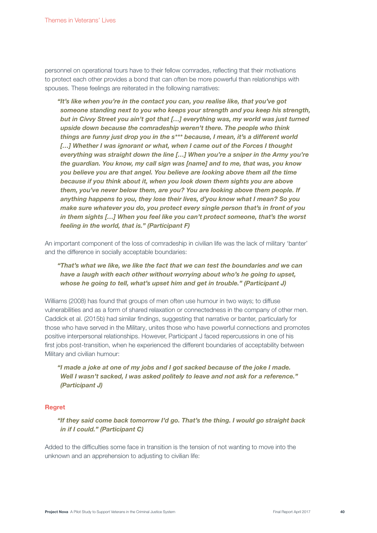personnel on operational tours have to their fellow comrades, reflecting that their motivations to protect each other provides a bond that can often be more powerful than relationships with spouses. These feelings are reiterated in the following narratives:

"It's like when you're in the contact you can, you realise like, that you've got someone standing next to you who keeps your strength and you keep his strength, but in Civvy Street you ain't got that […] everything was, my world was just turned upside down because the comradeship weren't there. The people who think things are funny just drop you in the s\*\*\* because, I mean, it's a different world [...] Whether I was ignorant or what, when I came out of the Forces I thought everything was straight down the line […] When you're a sniper in the Army you're the guardian. You know, my call sign was [name] and to me, that was, you know you believe you are that angel. You believe are looking above them all the time because if you think about it, when you look down them sights you are above them, you've never below them, are you? You are looking above them people. If anything happens to you, they lose their lives, d'you know what I mean? So you make sure whatever you do, you protect every single person that's in front of you in them sights […] When you feel like you can't protect someone, that's the worst feeling in the world, that is." (Participant F)

An important component of the loss of comradeship in civilian life was the lack of military 'banter' and the difference in socially acceptable boundaries:

"That's what we like, we like the fact that we can test the boundaries and we can have a laugh with each other without worrying about who's he going to upset, whose he going to tell, what's upset him and get in trouble." (Participant J)

Williams (2008) has found that groups of men often use humour in two ways; to diffuse vulnerabilities and as a form of shared relaxation or connectedness in the company of other men. Caddick et al. (2015b) had similar findings, suggesting that narrative or banter, particularly for those who have served in the Military, unites those who have powerful connections and promotes positive interpersonal relationships. However, Participant J faced repercussions in one of his first jobs post-transition, when he experienced the different boundaries of acceptability between Military and civilian humour:

"I made a joke at one of my jobs and I got sacked because of the joke I made. Well I wasn't sacked, I was asked politely to leave and not ask for a reference." (Participant J)

### Regret

"If they said come back tomorrow I'd go. That's the thing. I would go straight back in if I could." (Participant C)

Added to the difficulties some face in transition is the tension of not wanting to move into the unknown and an apprehension to adjusting to civilian life: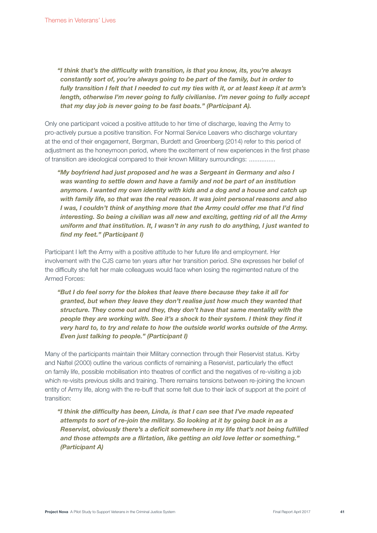"I think that's the difficulty with transition, is that you know, its, you're always constantly sort of, you're always going to be part of the family, but in order to fully transition I felt that I needed to cut my ties with it, or at least keep it at arm's length, otherwise I'm never going to fully civilianise. I'm never going to fully accept that my day job is never going to be fast boats." (Participant A).

Only one participant voiced a positive attitude to her time of discharge, leaving the Army to pro-actively pursue a positive transition. For Normal Service Leavers who discharge voluntary at the end of their engagement, Bergman, Burdett and Greenberg (2014) refer to this period of adjustment as the honeymoon period, where the excitement of new experiences in the first phase of transition are ideological compared to their known Military surroundings: ...............

"My boyfriend had just proposed and he was a Sergeant in Germany and also I was wanting to settle down and have a family and not be part of an institution anymore. I wanted my own identity with kids and a dog and a house and catch up with family life, so that was the real reason. It was joint personal reasons and also I was, I couldn't think of anything more that the Army could offer me that I'd find interesting. So being a civilian was all new and exciting, getting rid of all the Army uniform and that institution. It, I wasn't in any rush to do anything, I just wanted to find my feet." (Participant I)

Participant I left the Army with a positive attitude to her future life and employment. Her involvement with the CJS came ten years after her transition period. She expresses her belief of the difficulty she felt her male colleagues would face when losing the regimented nature of the Armed Forces:

"But I do feel sorry for the blokes that leave there because they take it all for granted, but when they leave they don't realise just how much they wanted that structure. They come out and they, they don't have that same mentality with the people they are working with. See it's a shock to their system. I think they find it very hard to, to try and relate to how the outside world works outside of the Army. Even just talking to people." (Participant I)

Many of the participants maintain their Military connection through their Reservist status. Kirby and Naftel (2000) outline the various conflicts of remaining a Reservist, particularly the effect on family life, possible mobilisation into theatres of conflict and the negatives of re-visiting a job which re-visits previous skills and training. There remains tensions between re-joining the known entity of Army life, along with the re-buff that some felt due to their lack of support at the point of transition:

"I think the difficulty has been, Linda, is that I can see that I've made repeated attempts to sort of re-join the military. So looking at it by going back in as a Reservist, obviously there's a deficit somewhere in my life that's not being fulfilled and those attempts are a flirtation, like getting an old love letter or something." (Participant A)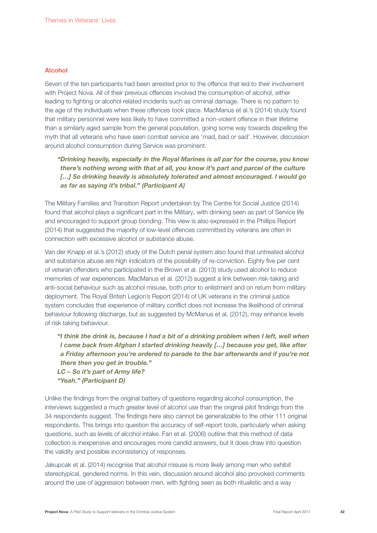#### Alcohol

Seven of the ten participants had been arrested prior to the offence that led to their involvement with Project Nova. All of their previous offences involved the consumption of alcohol, either leading to fighting or alcohol related incidents such as criminal damage. There is no pattern to the age of the individuals when these offences took place. MacManus et al.'s (2014) study found that military personnel were less likely to have committed a non-violent offence in their lifetime than a similarly aged sample from the general population, going some way towards dispelling the myth that all veterans who have seen combat service are 'mad, bad or sad'. However, discussion around alcohol consumption during Service was prominent.

"Drinking heavily, especially in the Royal Marines is all par for the course, you know there's nothing wrong with that at all, you know it's part and parcel of the culture [...] So drinking heavily is absolutely tolerated and almost encouraged. I would go as far as saying it's tribal." (Participant A)

The Military Families and Transition Report undertaken by The Centre for Social Justice (2014) found that alcohol plays a significant part in the Military, with drinking seen as part of Service life and encouraged to support group bonding. This view is also expressed in the Phillips Report (2014) that suggested the majority of low-level offences committed by veterans are often in connection with excessive alcohol or substance abuse.

Van der Knapp et al.'s (2012) study of the Dutch penal system also found that untreated alcohol and substance abuse are high indicators of the possibility of re-conviction. Eighty five per cent of veteran offenders who participated in the Brown et al. (2013) study used alcohol to reduce memories of war experiences. MacManus et al. (2012) suggest a link between risk-taking and anti-social behaviour such as alcohol misuse, both prior to enlistment and on return from military deployment. The Royal British Legion's Report (2014) of UK veterans in the criminal justice system concludes that experience of military conflict does not increase the likelihood of criminal behaviour following discharge, but as suggested by McManus et al. (2012), may enhance levels of risk taking behaviour.

"I think the drink is, because I had a bit of a drinking problem when I left, well when I came back from Afghan I started drinking heavily […] because you get, like after a Friday afternoon you're ordered to parade to the bar afterwards and if you're not there then you get in trouble." LC – So it's part of Army life?

"Yeah." (Participant D)

Unlike the findings from the original battery of questions regarding alcohol consumption, the interviews suggested a much greater level of alcohol use than the original pilot findings from the 34 respondents suggest. The findings here also cannot be generalizable to the other 111 original respondents. This brings into question the accuracy of self-report tools, particularly when asking questions, such as levels of alcohol intake. Fan et al. (2006) outline that this method of data collection is inexpensive and encourages more candid answers, but it does draw into question the validity and possible inconsistency of responses.

Jakupcak et al. (2014) recognise that alcohol misuse is more likely among men who exhibit stereotypical, gendered norms. In this vein, discussion around alcohol also provoked comments around the use of aggression between men, with fighting seen as both ritualistic and a way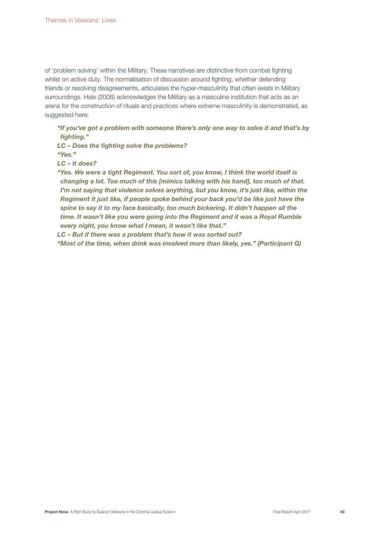of 'problem solving' within the Military. These narratives are distinctive from combat fighting whilst on active duty. The normalisation of discussion around fighting, whether defending friends or resolving disagreements, articulates the hyper-masculinity that often exists in Military surroundings. Hale (2008) acknowledges the Military as a masculine institution that acts as an arena for the construction of rituals and practices where extreme masculinity is demonstrated, as suggested here:

"If you've got a problem with someone there's only one way to solve it and that's by fighting."

LC – Does the fighting solve the problems? "Yes."

LC – It does?

"Yes. We were a tight Regiment. You sort of, you know, I think the world itself is changing a lot. Too much of this [mimics talking with his hand], too much of that. I'm not saying that violence solves anything, but you know, it's just like, within the Regiment it just like, if people spoke behind your back you'd be like just have the spine to say it to my face basically, too much bickering. It didn't happen all the time. It wasn't like you were going into the Regiment and it was a Royal Rumble every night, you know what I mean, it wasn't like that."

LC – But if there was a problem that's how it was sorted out?

"Most of the time, when drink was involved more than likely, yes." (Participant G)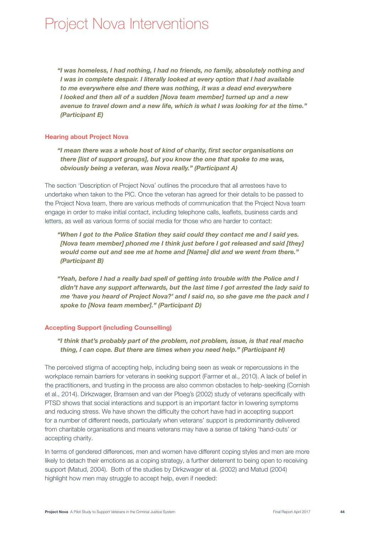# Project Nova Interventions

"I was homeless, I had nothing, I had no friends, no family, absolutely nothing and I was in complete despair. I literally looked at every option that I had available to me everywhere else and there was nothing, it was a dead end everywhere I looked and then all of a sudden [Nova team member] turned up and a new avenue to travel down and a new life, which is what I was looking for at the time." (Participant E)

### Hearing about Project Nova

"I mean there was a whole host of kind of charity, first sector organisations on there [list of support groups], but you know the one that spoke to me was, obviously being a veteran, was Nova really." (Participant A)

The section 'Description of Project Nova' outlines the procedure that all arrestees have to undertake when taken to the PIC. Once the veteran has agreed for their details to be passed to the Project Nova team, there are various methods of communication that the Project Nova team engage in order to make initial contact, including telephone calls, leaflets, business cards and letters, as well as various forms of social media for those who are harder to contact:

- "When I got to the Police Station they said could they contact me and I said yes. [Nova team member] phoned me I think just before I got released and said [they] would come out and see me at home and [Name] did and we went from there." (Participant B)
- "Yeah, before I had a really bad spell of getting into trouble with the Police and I didn't have any support afterwards, but the last time I got arrested the lady said to me 'have you heard of Project Nova?' and I said no, so she gave me the pack and I spoke to [Nova team member]." (Participant D)

### Accepting Support (including Counselling)

"I think that's probably part of the problem, not problem, issue, is that real macho thing, I can cope. But there are times when you need help." (Participant H)

The perceived stigma of accepting help, including being seen as weak or repercussions in the workplace remain barriers for veterans in seeking support (Farmer et al., 2010). A lack of belief in the practitioners, and trusting in the process are also common obstacles to help-seeking (Cornish et al., 2014). Dirkzwager, Bramsen and van der Ploeg's (2002) study of veterans specifically with PTSD shows that social interactions and support is an important factor in lowering symptoms and reducing stress. We have shown the difficulty the cohort have had in accepting support for a number of different needs, particularly when veterans' support is predominantly delivered from charitable organisations and means veterans may have a sense of taking 'hand-outs' or accepting charity.

In terms of gendered differences, men and women have different coping styles and men are more likely to detach their emotions as a coping strategy, a further deterrent to being open to receiving support (Matud, 2004). Both of the studies by Dirkzwager et al. (2002) and Matud (2004) highlight how men may struggle to accept help, even if needed: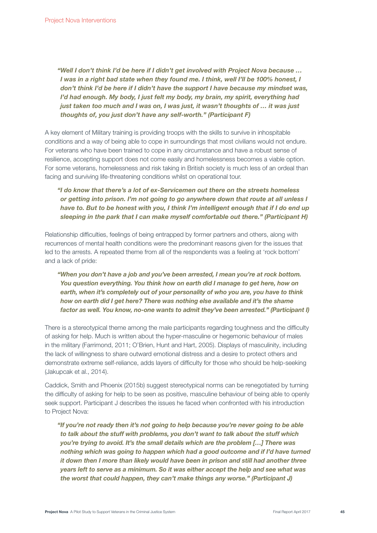"Well I don't think I'd be here if I didn't get involved with Project Nova because … I was in a right bad state when they found me. I think, well I'll be 100% honest, I don't think I'd be here if I didn't have the support I have because my mindset was, I'd had enough. My body, I just felt my body, my brain, my spirit, everything had just taken too much and I was on, I was just, it wasn't thoughts of … it was just thoughts of, you just don't have any self-worth." (Participant F)

A key element of Military training is providing troops with the skills to survive in inhospitable conditions and a way of being able to cope in surroundings that most civilians would not endure. For veterans who have been trained to cope in any circumstance and have a robust sense of resilience, accepting support does not come easily and homelessness becomes a viable option. For some veterans, homelessness and risk taking in British society is much less of an ordeal than facing and surviving life-threatening conditions whilst on operational tour.

# "I do know that there's a lot of ex-Servicemen out there on the streets homeless or getting into prison. I'm not going to go anywhere down that route at all unless I have to. But to be honest with you, I think I'm intelligent enough that if I do end up sleeping in the park that I can make myself comfortable out there." (Participant H)

Relationship difficulties, feelings of being entrapped by former partners and others, along with recurrences of mental health conditions were the predominant reasons given for the issues that led to the arrests. A repeated theme from all of the respondents was a feeling at 'rock bottom' and a lack of pride:

"When you don't have a job and you've been arrested, I mean you're at rock bottom. You question everything. You think how on earth did I manage to get here, how on earth, when it's completely out of your personality of who you are, you have to think how on earth did I get here? There was nothing else available and it's the shame factor as well. You know, no-one wants to admit they've been arrested." (Participant I)

There is a stereotypical theme among the male participants regarding toughness and the difficulty of asking for help. Much is written about the hyper-masculine or hegemonic behaviour of males in the military (Farrimond, 2011; O'Brien, Hunt and Hart, 2005). Displays of masculinity, including the lack of willingness to share outward emotional distress and a desire to protect others and demonstrate extreme self-reliance, adds layers of difficulty for those who should be help-seeking (Jakupcak et al., 2014).

Caddick, Smith and Phoenix (2015b) suggest stereotypical norms can be renegotiated by turning the difficulty of asking for help to be seen as positive, masculine behaviour of being able to openly seek support. Participant J describes the issues he faced when confronted with his introduction to Project Nova:

"If you're not ready then it's not going to help because you're never going to be able to talk about the stuff with problems, you don't want to talk about the stuff which you're trying to avoid. It's the small details which are the problem […] There was nothing which was going to happen which had a good outcome and if I'd have turned it down then I more than likely would have been in prison and still had another three years left to serve as a minimum. So it was either accept the help and see what was the worst that could happen, they can't make things any worse." (Participant J)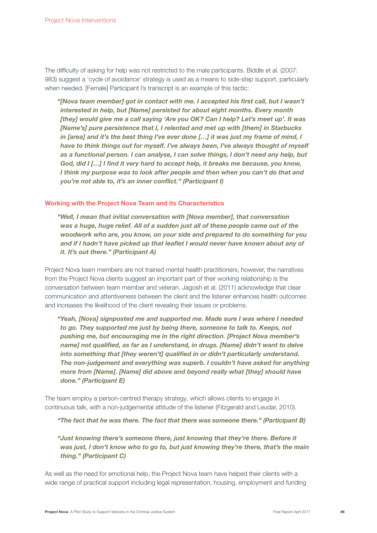The difficulty of asking for help was not restricted to the male participants. Biddle et al. (2007: 983) suggest a 'cycle of avoidance' strategy is used as a means to side-step support, particularly when needed. [Female] Participant I's transcript is an example of this tactic:

"[Nova team member] got in contact with me. I accepted his first call, but I wasn't interested in help, but [Name] persisted for about eight months. Every month [they] would give me a call saying 'Are you OK? Can I help? Let's meet up'. It was [Name's] pure persistence that I, I relented and met up with [them] in Starbucks in [area] and it's the best thing I've ever done […] it was just my frame of mind, I have to think things out for myself. I've always been, I've always thought of myself as a functional person. I can analyse, I can solve things, I don't need any help, but God, did I […] I find it very hard to accept help, it breaks me because, you know, I think my purpose was to look after people and then when you can't do that and you're not able to, it's an inner conflict." (Participant I)

#### Working with the Project Nova Team and its Characteristics

"Well, I mean that initial conversation with [Nova member], that conversation was a huge, huge relief. All of a sudden just all of these people came out of the woodwork who are, you know, on your side and prepared to do something for you and if I hadn't have picked up that leaflet I would never have known about any of it. It's out there." (Participant A)

Project Nova team members are not trained mental health practitioners, however, the narratives from the Project Nova clients suggest an important part of their working relationship is the conversation between team member and veteran. Jagosh et al. (2011) acknowledge that clear communication and attentiveness between the client and the listener enhances health outcomes and increases the likelihood of the client revealing their issues or problems.

"Yeah, [Nova] signposted me and supported me. Made sure I was where I needed to go. They supported me just by being there, someone to talk to. Keeps, not pushing me, but encouraging me in the right direction. [Project Nova member's name] not qualified, as far as I understand, in drugs. [Name] didn't want to delve into something that [they weren't] qualified in or didn't particularly understand. The non-judgement and everything was superb. I couldn't have asked for anything more from [Name]. [Name] did above and beyond really what [they] should have done." (Participant E)

The team employ a person-centred therapy strategy, which allows clients to engage in continuous talk, with a non-judgemental attitude of the listener (Fitzgerald and Leudar, 2010).

"The fact that he was there. The fact that there was someone there." (Participant B)

"Just knowing there's someone there, just knowing that they're there. Before it was just, I don't know who to go to, but just knowing they're there, that's the main thing." (Participant C)

As well as the need for emotional help, the Project Nova team have helped their clients with a wide range of practical support including legal representation, housing, employment and funding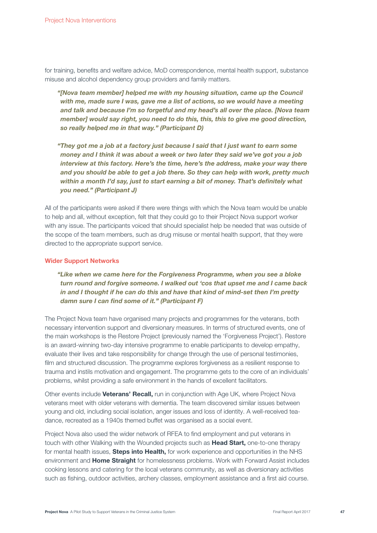for training, benefits and welfare advice, MoD correspondence, mental health support, substance misuse and alcohol dependency group providers and family matters.

"[Nova team member] helped me with my housing situation, came up the Council with me, made sure I was, gave me a list of actions, so we would have a meeting and talk and because I'm so forgetful and my head's all over the place. [Nova team member] would say right, you need to do this, this, this to give me good direction, so really helped me in that way." (Participant D)

"They got me a job at a factory just because I said that I just want to earn some money and I think it was about a week or two later they said we've got you a job interview at this factory. Here's the time, here's the address, make your way there and you should be able to get a job there. So they can help with work, pretty much within a month I'd say, just to start earning a bit of money. That's definitely what you need." (Participant J)

All of the participants were asked if there were things with which the Nova team would be unable to help and all, without exception, felt that they could go to their Project Nova support worker with any issue. The participants voiced that should specialist help be needed that was outside of the scope of the team members, such as drug misuse or mental health support, that they were directed to the appropriate support service.

#### Wider Support Networks

"Like when we came here for the Forgiveness Programme, when you see a bloke turn round and forgive someone. I walked out 'cos that upset me and I came back in and I thought if he can do this and have that kind of mind-set then I'm pretty damn sure I can find some of it." (Participant F)

The Project Nova team have organised many projects and programmes for the veterans, both necessary intervention support and diversionary measures. In terms of structured events, one of the main workshops is the Restore Project (previously named the 'Forgiveness Project'). Restore is an award-winning two-day intensive programme to enable participants to develop empathy, evaluate their lives and take responsibility for change through the use of personal testimonies, film and structured discussion. The programme explores forgiveness as a resilient response to trauma and instils motivation and engagement. The programme gets to the core of an individuals' problems, whilst providing a safe environment in the hands of excellent facilitators.

Other events include Veterans' Recall, run in conjunction with Age UK, where Project Nova veterans meet with older veterans with dementia. The team discovered similar issues between young and old, including social isolation, anger issues and loss of identity. A well-received teadance, recreated as a 1940s themed buffet was organised as a social event.

Project Nova also used the wider network of RFEA to find employment and put veterans in touch with other Walking with the Wounded projects such as Head Start, one-to-one therapy for mental health issues, **Steps into Health**, for work experience and opportunities in the NHS environment and Home Straight for homelessness problems. Work with Forward Assist includes cooking lessons and catering for the local veterans community, as well as diversionary activities such as fishing, outdoor activities, archery classes, employment assistance and a first aid course.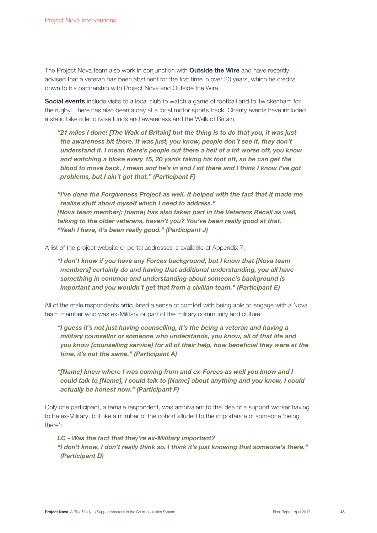The Project Nova team also work in conjunction with **Outside the Wire** and have recently advised that a veteran has been abstinent for the first time in over 20 years, which he credits down to his partnership with Project Nova and Outside the Wire.

Social events include visits to a local club to watch a game of football and to Twickenham for the rugby. There has also been a day at a local motor sports track. Charity events have included a static bike ride to raise funds and awareness and the Walk of Britain.

"21 miles I done! [The Walk of Britain] but the thing is to do that you, it was just the awareness bit there. It was just, you know, people don't see it, they don't understand it. I mean there's people out there a hell of a lot worse off, you know and watching a bloke every 15, 20 yards taking his foot off, so he can get the blood to move back, I mean and he's in and I sit there and I think I know I've got problems, but I ain't got that." (Participant F)

"I've done the Forgiveness Project as well. It helped with the fact that it made me realise stuff about myself which I need to address." [Nova team member]: [name] has also taken part in the Veterans Recall as well, talking to the older veterans, haven't you? You've been really good at that. "Yeah I have, it's been really good." (Participant J)

A list of the project website or portal addresses is available at Appendix 7.

"I don't know if you have any Forces background, but I know that [Nova team members] certainly do and having that additional understanding, you all have something in common and understanding about someone's background is important and you wouldn't get that from a civilian team." (Participant E)

All of the male respondents articulated a sense of comfort with being able to engage with a Nova team member who was ex-Military or part of the military community and culture:

"I guess it's not just having counselling, it's the being a veteran and having a military counsellor or someone who understands, you know, all of that life and you know [counselling service] for all of their help, how beneficial they were at the time, it's not the same." (Participant A)

"[Name] knew where I was coming from and ex-Forces as well you know and I could talk to [Name], I could talk to [Name] about anything and you know, I could actually be honest now." (Participant F)

Only one participant, a female respondent, was ambivalent to the idea of a support worker having to be ex-Military, but like a number of the cohort alluded to the importance of someone 'being there':

LC - Was the fact that they're ex-Military important? "I don't know. I don't really think so. I think it's just knowing that someone's there." (Participant D)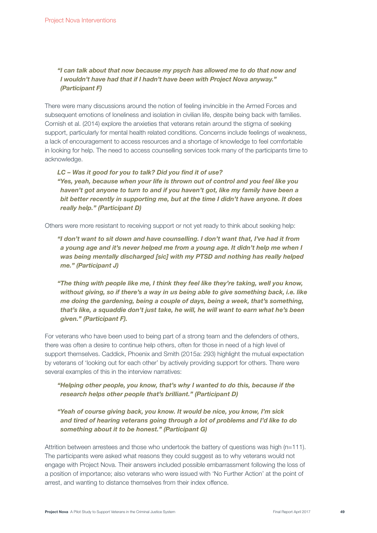# "I can talk about that now because my psych has allowed me to do that now and I wouldn't have had that if I hadn't have been with Project Nova anyway." (Participant F)

There were many discussions around the notion of feeling invincible in the Armed Forces and subsequent emotions of loneliness and isolation in civilian life, despite being back with families. Cornish et al. (2014) explore the anxieties that veterans retain around the stigma of seeking support, particularly for mental health related conditions. Concerns include feelings of weakness, a lack of encouragement to access resources and a shortage of knowledge to feel comfortable in looking for help. The need to access counselling services took many of the participants time to acknowledge.

LC – Was it good for you to talk? Did you find it of use? "Yes, yeah, because when your life is thrown out of control and you feel like you haven't got anyone to turn to and if you haven't got, like my family have been a bit better recently in supporting me, but at the time I didn't have anyone. It does really help." (Participant D)

Others were more resistant to receiving support or not yet ready to think about seeking help:

"I don't want to sit down and have counselling. I don't want that, I've had it from a young age and it's never helped me from a young age. It didn't help me when I was being mentally discharged [sic] with my PTSD and nothing has really helped me." (Participant J)

"The thing with people like me, I think they feel like they're taking, well you know, without giving, so if there's a way in us being able to give something back, i.e. like me doing the gardening, being a couple of days, being a week, that's something, that's like, a squaddie don't just take, he will, he will want to earn what he's been given." (Participant F).

For veterans who have been used to being part of a strong team and the defenders of others, there was often a desire to continue help others, often for those in need of a high level of support themselves. Caddick, Phoenix and Smith (2015a: 293) highlight the mutual expectation by veterans of 'looking out for each other' by actively providing support for others. There were several examples of this in the interview narratives:

## "Helping other people, you know, that's why I wanted to do this, because if the research helps other people that's brilliant." (Participant D)

"Yeah of course giving back, you know. It would be nice, you know, I'm sick and tired of hearing veterans going through a lot of problems and I'd like to do something about it to be honest." (Participant G)

Attrition between arrestees and those who undertook the battery of questions was high (n=111). The participants were asked what reasons they could suggest as to why veterans would not engage with Project Nova. Their answers included possible embarrassment following the loss of a position of importance; also veterans who were issued with 'No Further Action' at the point of arrest, and wanting to distance themselves from their index offence.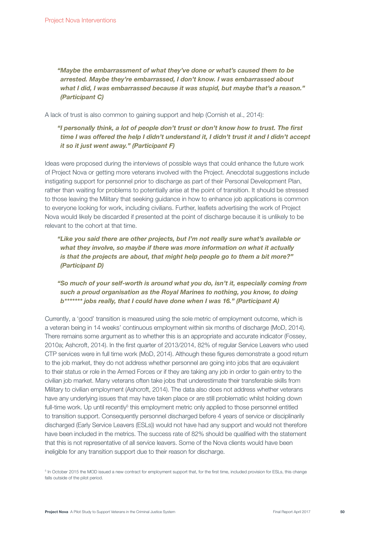"Maybe the embarrassment of what they've done or what's caused them to be arrested. Maybe they're embarrassed, I don't know. I was embarrassed about what I did, I was embarrassed because it was stupid, but maybe that's a reason." (Participant C)

A lack of trust is also common to gaining support and help (Cornish et al., 2014):

# "I personally think, a lot of people don't trust or don't know how to trust. The first time I was offered the help I didn't understand it, I didn't trust it and I didn't accept it so it just went away." (Participant F)

Ideas were proposed during the interviews of possible ways that could enhance the future work of Project Nova or getting more veterans involved with the Project. Anecdotal suggestions include instigating support for personnel prior to discharge as part of their Personal Development Plan, rather than waiting for problems to potentially arise at the point of transition. It should be stressed to those leaving the Military that seeking guidance in how to enhance job applications is common to everyone looking for work, including civilians. Further, leaflets advertising the work of Project Nova would likely be discarded if presented at the point of discharge because it is unlikely to be relevant to the cohort at that time.

"Like you said there are other projects, but I'm not really sure what's available or what they involve, so maybe if there was more information on what it actually is that the projects are about, that might help people go to them a bit more?" (Participant D)

# "So much of your self-worth is around what you do, isn't it, especially coming from such a proud organisation as the Royal Marines to nothing, you know, to doing b\*\*\*\*\*\*\* jobs really, that I could have done when I was 16." (Participant A)

Currently, a 'good' transition is measured using the sole metric of employment outcome, which is a veteran being in 14 weeks' continuous employment within six months of discharge (MoD, 2014). There remains some argument as to whether this is an appropriate and accurate indicator (Fossey, 2010a; Ashcroft, 2014). In the first quarter of 2013/2014, 82% of regular Service Leavers who used CTP services were in full time work (MoD, 2014). Although these figures demonstrate a good return to the job market, they do not address whether personnel are going into jobs that are equivalent to their status or role in the Armed Forces or if they are taking any job in order to gain entry to the civilian job market. Many veterans often take jobs that underestimate their transferable skills from Military to civilian employment (Ashcroft, 2014). The data also does not address whether veterans have any underlying issues that may have taken place or are still problematic whilst holding down full-time work. Up until recently<sup>5</sup> this employment metric only applied to those personnel entitled to transition support. Consequently personnel discharged before 4 years of service or disciplinarily discharged (Early Service Leavers (ESLs)) would not have had any support and would not therefore have been included in the metrics. The success rate of 82% should be qualified with the statement that this is not representative of all service leavers. Some of the Nova clients would have been ineligible for any transition support due to their reason for discharge.

<sup>5</sup> In October 2015 the MOD issued a new contract for employment support that, for the first time, included provision for ESLs, this change falls outside of the pilot period.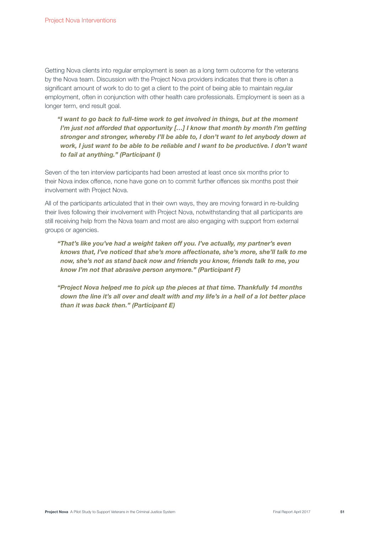Getting Nova clients into regular employment is seen as a long term outcome for the veterans by the Nova team. Discussion with the Project Nova providers indicates that there is often a significant amount of work to do to get a client to the point of being able to maintain regular employment, often in conjunction with other health care professionals. Employment is seen as a longer term, end result goal.

"I want to go back to full-time work to get involved in things, but at the moment I'm just not afforded that opportunity […] I know that month by month I'm getting stronger and stronger, whereby I'll be able to, I don't want to let anybody down at work, I just want to be able to be reliable and I want to be productive. I don't want to fail at anything." (Participant I)

Seven of the ten interview participants had been arrested at least once six months prior to their Nova index offence, none have gone on to commit further offences six months post their involvement with Project Nova.

All of the participants articulated that in their own ways, they are moving forward in re-building their lives following their involvement with Project Nova, notwithstanding that all participants are still receiving help from the Nova team and most are also engaging with support from external groups or agencies.

"That's like you've had a weight taken off you. I've actually, my partner's even knows that, I've noticed that she's more affectionate, she's more, she'll talk to me now, she's not as stand back now and friends you know, friends talk to me, you know I'm not that abrasive person anymore." (Participant F)

"Project Nova helped me to pick up the pieces at that time. Thankfully 14 months down the line it's all over and dealt with and my life's in a hell of a lot better place than it was back then." (Participant E)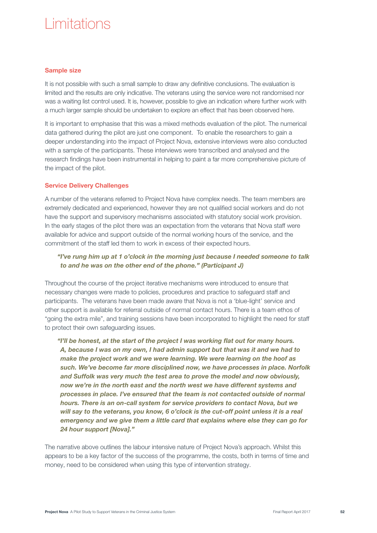# Limitations

### Sample size

It is not possible with such a small sample to draw any definitive conclusions. The evaluation is limited and the results are only indicative. The veterans using the service were not randomised nor was a waiting list control used. It is, however, possible to give an indication where further work with a much larger sample should be undertaken to explore an effect that has been observed here.

It is important to emphasise that this was a mixed methods evaluation of the pilot. The numerical data gathered during the pilot are just one component. To enable the researchers to gain a deeper understanding into the impact of Project Nova, extensive interviews were also conducted with a sample of the participants. These interviews were transcribed and analysed and the research findings have been instrumental in helping to paint a far more comprehensive picture of the impact of the pilot.

### Service Delivery Challenges

A number of the veterans referred to Project Nova have complex needs. The team members are extremely dedicated and experienced, however they are not qualified social workers and do not have the support and supervisory mechanisms associated with statutory social work provision. In the early stages of the pilot there was an expectation from the veterans that Nova staff were available for advice and support outside of the normal working hours of the service, and the commitment of the staff led them to work in excess of their expected hours.

# "I've rung him up at 1 o'clock in the morning just because I needed someone to talk to and he was on the other end of the phone." (Participant J)

Throughout the course of the project iterative mechanisms were introduced to ensure that necessary changes were made to policies, procedures and practice to safeguard staff and participants. The veterans have been made aware that Nova is not a 'blue-light' service and other support is available for referral outside of normal contact hours. There is a team ethos of "going the extra mile", and training sessions have been incorporated to highlight the need for staff to protect their own safeguarding issues.

"I'll be honest, at the start of the project I was working flat out for many hours. A, because I was on my own, I had admin support but that was it and we had to make the project work and we were learning. We were learning on the hoof as such. We've become far more disciplined now, we have processes in place. Norfolk and Suffolk was very much the test area to prove the model and now obviously, now we're in the north east and the north west we have different systems and processes in place. I've ensured that the team is not contacted outside of normal hours. There is an on-call system for service providers to contact Nova, but we will say to the veterans, you know, 6 o'clock is the cut-off point unless it is a real emergency and we give them a little card that explains where else they can go for 24 hour support [Nova]."

The narrative above outlines the labour intensive nature of Project Nova's approach. Whilst this appears to be a key factor of the success of the programme, the costs, both in terms of time and money, need to be considered when using this type of intervention strategy.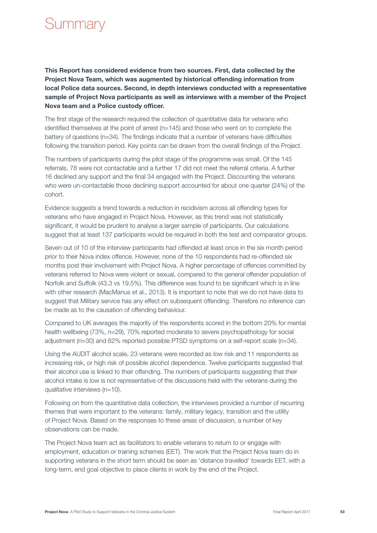# Summary

This Report has considered evidence from two sources. First, data collected by the Project Nova Team, which was augmented by historical offending information from local Police data sources. Second, in depth interviews conducted with a representative sample of Project Nova participants as well as interviews with a member of the Project Nova team and a Police custody officer.

The first stage of the research required the collection of quantitative data for veterans who identified themselves at the point of arrest (n=145) and those who went on to complete the battery of questions (n=34). The findings indicate that a number of veterans have difficulties following the transition period. Key points can be drawn from the overall findings of the Project.

The numbers of participants during the pilot stage of the programme was small. Of the 145 referrals, 78 were not contactable and a further 17 did not meet the referral criteria. A further 16 declined any support and the final 34 engaged with the Project. Discounting the veterans who were un-contactable those declining support accounted for about one quarter (24%) of the cohort.

Evidence suggests a trend towards a reduction in recidivism across all offending types for veterans who have engaged in Project Nova. However, as this trend was not statistically significant, it would be prudent to analyse a larger sample of participants. Our calculations suggest that at least 137 participants would be required in both the test and comparator groups.

Seven out of 10 of the interview participants had offended at least once in the six month period prior to their Nova index offence. However, none of the 10 respondents had re-offended six months post their involvement with Project Nova. A higher percentage of offences committed by veterans referred to Nova were violent or sexual, compared to the general offender population of Norfolk and Suffolk (43.3 vs 19.5%). This difference was found to be significant which is in line with other research (MacManus et al., 2013). It is important to note that we do not have data to suggest that Military service has any effect on subsequent offending. Therefore no inference can be made as to the causation of offending behaviour.

Compared to UK averages the majority of the respondents scored in the bottom 20% for mental health wellbeing (73%, n=29), 70% reported moderate to severe psychopathology for social adjustment (n=30) and 62% reported possible PTSD symptoms on a self-report scale (n=34).

Using the AUDIT alcohol scale, 23 veterans were recorded as low risk and 11 respondents as increasing risk, or high risk of possible alcohol dependence. Twelve participants suggested that their alcohol use is linked to their offending. The numbers of participants suggesting that their alcohol intake is low is not representative of the discussions held with the veterans during the qualitative interviews (n=10).

Following on from the quantitative data collection, the interviews provided a number of recurring themes that were important to the veterans: family, military legacy, transition and the utility of Project Nova. Based on the responses to these areas of discussion, a number of key observations can be made.

The Project Nova team act as facilitators to enable veterans to return to or engage with employment, education or training schemes (EET). The work that the Project Nova team do in supporting veterans in the short term should be seen as 'distance travelled' towards EET, with a long-term, end goal objective to place clients in work by the end of the Project.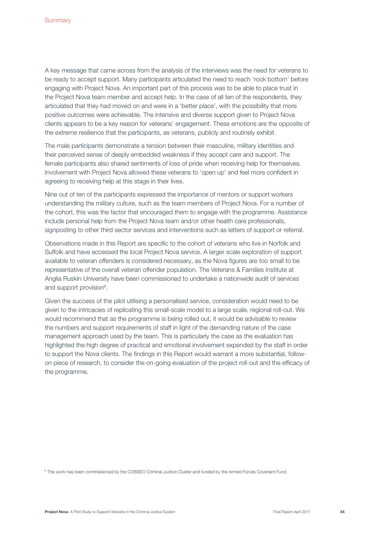A key message that came across from the analysis of the interviews was the need for veterans to be ready to accept support. Many participants articulated the need to reach 'rock bottom' before engaging with Project Nova. An important part of this process was to be able to place trust in the Project Nova team member and accept help. In the case of all ten of the respondents, they articulated that they had moved on and were in a 'better place', with the possibility that more positive outcomes were achievable. The intensive and diverse support given to Project Nova clients appears to be a key reason for veterans' engagement. These emotions are the opposite of the extreme resilience that the participants, as veterans, publicly and routinely exhibit.

The male participants demonstrate a tension between their masculine, military identities and their perceived sense of deeply embedded weakness if they accept care and support. The female participants also shared sentiments of loss of pride when receiving help for themselves. Involvement with Project Nova allowed these veterans to 'open up' and feel more confident in agreeing to receiving help at this stage in their lives.

Nine out of ten of the participants expressed the importance of mentors or support workers understanding the military culture, such as the team members of Project Nova. For a number of the cohort, this was the factor that encouraged them to engage with the programme. Assistance include personal help from the Project Nova team and/or other health care professionals, signposting to other third sector services and interventions such as letters of support or referral.

Observations made in this Report are specific to the cohort of veterans who live in Norfolk and Suffolk and have accessed the local Project Nova service. A larger scale exploration of support available to veteran offenders is considered necessary, as the Nova figures are too small to be representative of the overall veteran offender population. The Veterans & Families Institute at Anglia Ruskin University have been commissioned to undertake a nationwide audit of services and support provision<sup>6</sup>.

Given the success of the pilot utilising a personalised service, consideration would need to be given to the intricacies of replicating this small-scale model to a large scale, regional roll-out. We would recommend that as the programme is being rolled out, it would be advisable to review the numbers and support requirements of staff in light of the demanding nature of the case management approach used by the team. This is particularly the case as the evaluation has highlighted the high degree of practical and emotional involvement expended by the staff in order to support the Nova clients. The findings in this Report would warrant a more substantial, followon piece of research, to consider the on-going evaluation of the project roll-out and the efficacy of the programme.

<sup>6</sup> This work has been commissioned by the COBSEO Criminal Justice Cluster and funded by the Armed Forces Covenant Fund.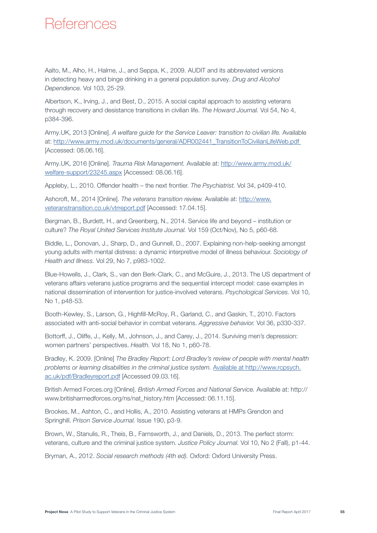# **References**

Aalto, M., Alho, H., Halme, J., and Seppa, K., 2009. AUDIT and its abbreviated versions in detecting heavy and binge drinking in a general population survey. Drug and Alcohol Dependence. Vol 103, 25-29.

Albertson, K., Irving, J., and Best, D., 2015. A social capital approach to assisting veterans through recovery and desistance transitions in civilian life. The Howard Journal. Vol 54, No 4, p384-396.

Army.UK, 2013 [Online]. A welfare guide for the Service Leaver: transition to civilian life. Available at: http://www.army.mod.uk/documents/general/ADR002441\_TransitionToCivilianLifeWeb.pdf [Accessed: 08.06.16].

Army.UK, 2016 [Online]. Trauma Risk Management. Available at: http://www.army.mod.uk/ welfare-support/23245.aspx [Accessed: 08.06.16].

Appleby, L., 2010. Offender health – the next frontier. The Psychiatrist. Vol 34, p409-410.

Ashcroft, M., 2014 [Online]. The veterans transition review. Available at: http://www. veteranstransition.co.uk/vtrreport.pdf [Accessed: 17.04.15].

Bergman, B., Burdett, H., and Greenberg, N., 2014. Service life and beyond – institution or culture? The Royal United Services Institute Journal. Vol 159 (Oct/Nov), No 5, p60-68.

Biddle, L., Donovan, J., Sharp, D., and Gunnell, D., 2007. Explaining non-help-seeking amongst young adults with mental distress: a dynamic interpretive model of illness behaviour. Sociology of Health and Illness. Vol 29, No 7, p983-1002.

Blue-Howells, J., Clark, S., van den Berk-Clark, C., and McGuire, J., 2013. The US department of veterans affairs veterans justice programs and the sequential intercept model: case examples in national dissemination of intervention for justice-involved veterans. Psychological Services. Vol 10, No 1, p48-53.

Booth-Kewley, S., Larson, G., Highfill-McRoy, R., Garland, C., and Gaskin, T., 2010. Factors associated with anti-social behavior in combat veterans. Aggressive behavior. Vol 36, p330-337.

Bottorff, J., Oliffe, J., Kelly, M., Johnson, J., and Carey, J., 2014. Surviving men's depression: women partners' perspectives. Health. Vol 18, No 1, p60-78.

Bradley, K. 2009. [Online] The Bradley Report: Lord Bradley's review of people with mental health problems or learning disabilities in the criminal justice system. Available at http://www.rcpsych. ac.uk/pdf/Bradleyreport.pdf [Accessed 09.03.16].

British Armed Forces.org [Online]. British Armed Forces and National Service. Available at: http:// www.britisharmedforces.org/ns/nat\_history.htm [Accessed: 06.11.15].

Brookes, M., Ashton, C., and Hollis, A., 2010. Assisting veterans at HMPs Grendon and Springhill. Prison Service Journal. Issue 190, p3-9.

Brown, W., Stanulis, R., Theis, B., Farnsworth, J., and Daniels, D., 2013. The perfect storm: veterans, culture and the criminal justice system. Justice Policy Journal. Vol 10, No 2 (Fall), p1-44.

Bryman, A., 2012. Social research methods (4th ed). Oxford: Oxford University Press.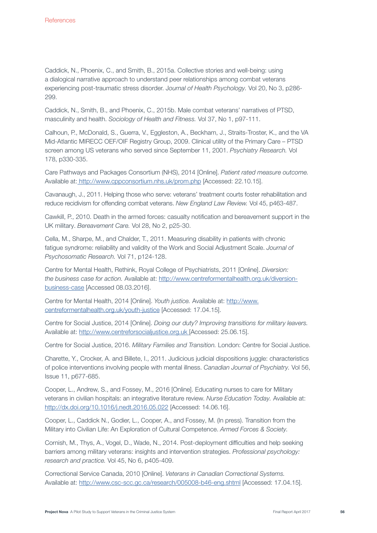Caddick, N., Phoenix, C., and Smith, B., 2015a. Collective stories and well-being: using a dialogical narrative approach to understand peer relationships among combat veterans experiencing post-traumatic stress disorder. Journal of Health Psychology. Vol 20, No 3, p286- 299.

Caddick, N., Smith, B., and Phoenix, C., 2015b. Male combat veterans' narratives of PTSD, masculinity and health. Sociology of Health and Fitness. Vol 37, No 1, p97-111.

Calhoun, P., McDonald, S., Guerra, V., Eggleston, A., Beckham, J., Straits-Troster, K., and the VA Mid-Atlantic MIRECC OEF/OIF Registry Group, 2009. Clinical utility of the Primary Care – PTSD screen among US veterans who served since September 11, 2001. Psychiatry Research. Vol 178, p330-335.

Care Pathways and Packages Consortium (NHS), 2014 [Online]. Patient rated measure outcome. Available at: http://www.cppconsortium.nhs.uk/prom.php [Accessed: 22.10.15].

Cavanaugh, J., 2011. Helping those who serve: veterans' treatment courts foster rehabilitation and reduce recidivism for offending combat veterans. New England Law Review. Vol 45, p463-487.

Cawkill, P., 2010. Death in the armed forces: casualty notification and bereavement support in the UK military. Bereavement Care. Vol 28, No 2, p25-30.

Cella, M., Sharpe, M., and Chalder, T., 2011. Measuring disability in patients with chronic fatigue syndrome: reliability and validity of the Work and Social Adjustment Scale. Journal of Psychosomatic Research. Vol 71, p124-128.

Centre for Mental Health, Rethink, Royal College of Psychiatrists, 2011 [Online]. Diversion: the business case for action. Available at: http://www.centreformentalhealth.org.uk/diversionbusiness-case [Accessed 08.03.2016].

Centre for Mental Health, 2014 [Online]. Youth justice. Available at: http://www. centreformentalhealth.org.uk/youth-justice [Accessed: 17.04.15].

Centre for Social Justice, 2014 [Online]. Doing our duty? Improving transitions for military leavers. Available at: http://www.centreforsocialjustice.org.uk [Accessed: 25.06.15].

Centre for Social Justice, 2016. Military Families and Transition. London: Centre for Social Justice.

Charette, Y., Crocker, A. and Billete, I., 2011. Judicious judicial dispositions juggle: characteristics of police interventions involving people with mental illness. Canadian Journal of Psychiatry. Vol 56, Issue 11, p677-685.

Cooper, L., Andrew, S., and Fossey, M., 2016 [Online]. Educating nurses to care for Military veterans in civilian hospitals: an integrative literature review. Nurse Education Today. Available at: http://dx.doi.org/10.1016/j.nedt.2016.05.022 [Accessed: 14.06.16].

Cooper, L., Caddick N., Godier, L., Cooper, A., and Fossey, M. (In press). Transition from the Military into Civilian Life: An Exploration of Cultural Competence. Armed Forces & Society.

Cornish, M., Thys, A., Vogel, D., Wade, N., 2014. Post-deployment difficulties and help seeking barriers among military veterans: insights and intervention strategies. Professional psychology: research and practice. Vol 45, No 6, p405-409.

Correctional Service Canada, 2010 [Online]. Veterans in Canadian Correctional Systems. Available at: http://www.csc-scc.gc.ca/research/005008-b46-eng.shtml [Accessed: 17.04.15].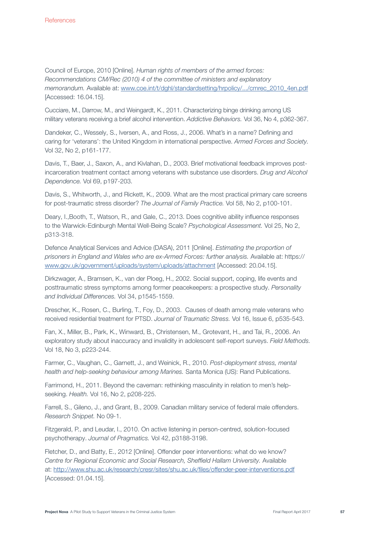Council of Europe, 2010 [Online]. Human rights of members of the armed forces: Recommendations CM/Rec (2010) 4 of the committee of ministers and explanatory memorandum. Available at: www.coe.int/t/dghl/standardsetting/hrpolicy/.../cmrec\_2010\_4en.pdf [Accessed: 16.04.15].

Cucciare, M., Darrow, M., and Weingardt, K., 2011. Characterizing binge drinking among US military veterans receiving a brief alcohol intervention. Addictive Behaviors. Vol 36, No 4, p362-367.

Dandeker, C., Wessely, S., Iversen, A., and Ross, J., 2006. What's in a name? Defining and caring for 'veterans': the United Kingdom in international perspective. Armed Forces and Society. Vol 32, No 2, p161-177.

Davis, T., Baer, J., Saxon, A., and Kivlahan, D., 2003. Brief motivational feedback improves postincarceration treatment contact among veterans with substance use disorders. Drug and Alcohol Dependence. Vol 69, p197-203.

Davis, S., Whitworth, J., and Rickett, K., 2009. What are the most practical primary care screens for post-traumatic stress disorder? The Journal of Family Practice. Vol 58, No 2, p100-101.

Deary, I.,Booth, T., Watson, R., and Gale, C., 2013. Does cognitive ability influence responses to the Warwick-Edinburgh Mental Well-Being Scale? Psychological Assessment. Vol 25, No 2, p313-318.

Defence Analytical Services and Advice (DASA), 2011 [Online]. Estimating the proportion of prisoners in England and Wales who are ex-Armed Forces: further analysis. Available at: https:// www.gov.uk/government/uploads/system/uploads/attachment [Accessed: 20.04.15].

Dirkzwager, A., Bramsen, K., van der Ploeg, H., 2002. Social support, coping, life events and posttraumatic stress symptoms among former peacekeepers: a prospective study. Personality and Individual Differences. Vol 34, p1545-1559.

Drescher, K., Rosen, C., Burling, T., Foy, D., 2003. Causes of death among male veterans who received residential treatment for PTSD. Journal of Traumatic Stress. Vol 16, Issue 6, p535-543.

Fan, X., Miller, B., Park, K., Winward, B., Christensen, M., Grotevant, H., and Tai, R., 2006. An exploratory study about inaccuracy and invalidity in adolescent self-report surveys. Field Methods. Vol 18, No 3, p223-244.

Farmer, C., Vaughan, C., Garnett, J., and Weinick, R., 2010. Post-deployment stress, mental health and help-seeking behaviour among Marines. Santa Monica (US): Rand Publications.

Farrimond, H., 2011. Beyond the caveman: rethinking masculinity in relation to men's helpseeking. Health. Vol 16, No 2, p208-225.

Farrell, S., Gileno, J., and Grant, B., 2009. Canadian military service of federal male offenders. Research Snippet. No 09-1.

Fitzgerald, P., and Leudar, I., 2010. On active listening in person-centred, solution-focused psychotherapy. Journal of Pragmatics. Vol 42, p3188-3198.

Fletcher, D., and Batty, E., 2012 [Online]. Offender peer interventions: what do we know? Centre for Regional Economic and Social Research, Sheffield Hallam University. Available at: http://www.shu.ac.uk/research/cresr/sites/shu.ac.uk/files/offender-peer-interventions.pdf [Accessed: 01.04.15].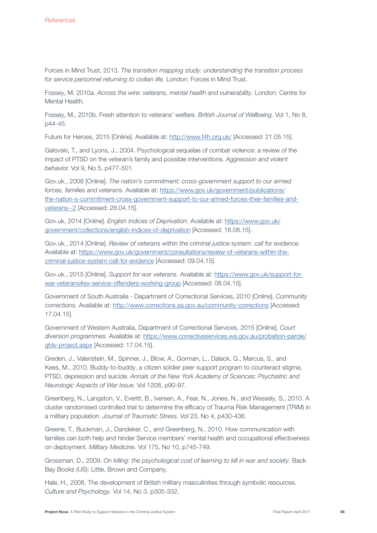Forces in Mind Trust, 2013. The transition mapping study: understanding the transition process for service personnel returning to civilian life. London: Forces in Mind Trust.

Fossey, M. 2010a. Across the wire: veterans, mental health and vulnerability. London: Centre for Mental Health.

Fossey, M., 2010b. Fresh attention to veterans' welfare. British Journal of Wellbeing. Vol 1, No 8, p44-45.

Future for Heroes, 2015 [Online]. Available at: http://www.f4h.org.uk/ [Accessed: 21.05.15].

Galovski, T., and Lyons, J., 2004. Psychological sequelae of combat violence: a review of the impact of PTSD on the veteran's family and possible interventions. Aggression and violent behavior. Vol 9, No 5, p477-501.

Gov.uk., 2008 [Online]. The nation's commitment: cross-government support to our armed forces, families and veterans. Available at: https://www.gov.uk/government/publications/ the-nation-s-commitment-cross-government-support-to-our-armed-forces-their-families-andveterans--2 [Accessed: 28.04.15].

Gov.uk, 2014 [Online]. English Indices of Deprivation. Available at: https://www.gov.uk/ government/collections/english-indices-of-deprivation [Accessed: 18.08.15].

Gov.uk., 2014 [Online]. Review of veterans within the criminal justice system: call for evidence. Available at: https://www.gov.uk/government/consultations/review-of-veterans-within-thecriminal-justice-system-call-for-evidence [Accessed: 09.04.15].

Gov.uk., 2015 [Online]. Support for war veterans. Available at: https://www.gov.uk/support-forwar-veterans#ex-service-offenders-working-group [Accessed: 08.04.15].

Government of South Australia - Department of Correctional Services, 2010 [Online]. Community corrections. Available at: http://www.corrections.sa.gov.au/community-corrections [Accessed: 17.04.15].

Government of Western Australia, Department of Correctional Services, 2015 [Online]. Court diversion programmes. Available at: https://www.correctiveservices.wa.gov.au/probation-parole/ gfdv-project.aspx [Accessed: 17.04.15].

Greden, J., Valenstein, M., Spinner, J., Blow, A., Gorman, L., Dalack, G., Marcus, S., and Kees, M., 2010. Buddy-to-buddy, a citizen soldier peer support program to counteract stigma, PTSD, depression and suicide. Annals of the New York Academy of Sciences: Psychiatric and Neurologic Aspects of War Issue. Vol 1208, p90-97.

Greenberg, N., Langston, V., Everitt, B., Iversen, A., Fear, N., Jones, N., and Wessely, S., 2010. A cluster randomised controlled trial to determine the efficacy of Trauma Risk Management (TRiM) in a military population. Journal of Traumatic Stress. Vol 23, No 4, p430-436.

Greene, T., Buckman, J., Dandeker, C., and Greenberg, N., 2010. How communication with families can both help and hinder Service members' mental health and occupational effectiveness on deployment. Military Medicine. Vol 175, No 10, p745-749.

Grossman, D., 2009. On killing: the psychological cost of learning to kill in war and society. Back Bay Books (US): Little, Brown and Company.

Hale, H., 2008. The development of British military masculinities through symbolic resources. Culture and Psychology. Vol 14, No 3, p305-332.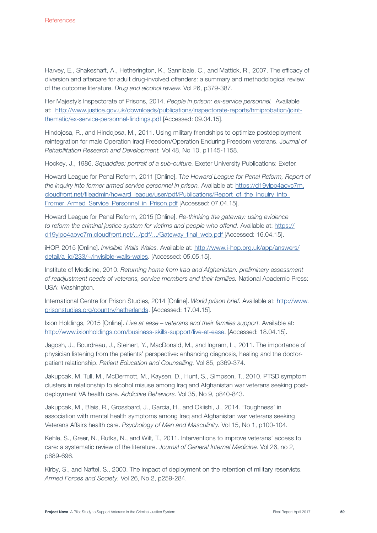Harvey, E., Shakeshaft, A., Hetherington, K., Sannibale, C., and Mattick, R., 2007. The efficacy of diversion and aftercare for adult drug-involved offenders: a summary and methodological review of the outcome literature. Drug and alcohol review. Vol 26, p379-387.

Her Majesty's Inspectorate of Prisons, 2014. People in prison: ex-service personnel. Available at: http://www.justice.gov.uk/downloads/publications/inspectorate-reports/hmiprobation/jointthematic/ex-service-personnel-findings.pdf [Accessed: 09.04.15].

Hindojosa, R., and Hindojosa, M., 2011. Using military friendships to optimize postdeployment reintegration for male Operation Iraqi Freedom/Operation Enduring Freedom veterans. Journal of Rehabilitation Research and Development. Vol 48, No 10, p1145-1158.

Hockey, J., 1986. Squaddies: portrait of a sub-culture. Exeter University Publications: Exeter.

Howard League for Penal Reform, 2011 [Online]. The Howard League for Penal Reform, Report of the inquiry into former armed service personnel in prison. Available at: https://d19ylpo4aovc7m. cloudfront.net/fileadmin/howard\_league/user/pdf/Publications/Report\_of\_the\_Inquiry\_into Fromer Armed Service Personnel in Prison.pdf [Accessed: 07.04.15].

Howard League for Penal Reform, 2015 [Online]. Re-thinking the gateway: using evidence to reform the criminal justice system for victims and people who offend. Available at: https:// d19ylpo4aovc7m.cloudfront.net/.../pdf/.../Gateway\_final\_web.pdf [Accessed: 16.04.15].

iHOP, 2015 [Online]. Invisible Walls Wales. Available at: http://www.i-hop.org.uk/app/answers/ detail/a\_id/233/~/invisible-walls-wales. [Accessed: 05.05.15].

Institute of Medicine, 2010. Returning home from Iraq and Afghanistan: preliminary assessment of readjustment needs of veterans, service members and their families. National Academic Press: USA: Washington.

International Centre for Prison Studies, 2014 [Online]. World prison brief. Available at: http://www. prisonstudies.org/country/netherlands. [Accessed: 17.04.15].

Ixion Holdings, 2015 [Online]. Live at ease – veterans and their families support. Available at: http://www.ixionholdings.com/business-skills-support/live-at-ease. [Accessed: 18.04.15].

Jagosh, J., Bourdreau, J., Steinert, Y., MacDonald, M., and Ingram, L., 2011. The importance of physician listening from the patients' perspective: enhancing diagnosis, healing and the doctorpatient relationship. Patient Education and Counselling. Vol 85, p369-374.

Jakupcak, M. Tull, M., McDermott, M., Kaysen, D., Hunt, S., Simpson, T., 2010. PTSD symptom clusters in relationship to alcohol misuse among Iraq and Afghanistan war veterans seeking postdeployment VA health care. Addictive Behaviors. Vol 35, No 9, p840-843.

Jakupcak, M., Blais, R., Grossbard, J., Garcia, H., and Okiishi, J., 2014. 'Toughness' in association with mental health symptoms among Iraq and Afghanistan war veterans seeking Veterans Affairs health care. Psychology of Men and Masculinity. Vol 15, No 1, p100-104.

Kehle, S., Greer, N., Rutks, N., and Wilt, T., 2011. Interventions to improve veterans' access to care: a systematic review of the literature. Journal of General Internal Medicine. Vol 26, no 2, p689-696.

Kirby, S., and Naftel, S., 2000. The impact of deployment on the retention of military reservists. Armed Forces and Society. Vol 26, No 2, p259-284.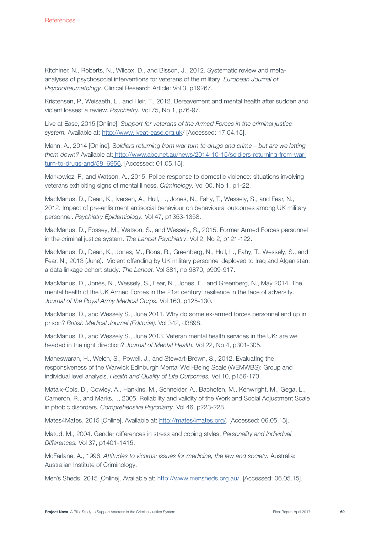Kitchiner, N., Roberts, N., Wilcox, D., and Bisson, J., 2012. Systematic review and metaanalyses of psychosocial interventions for veterans of the military. European Journal of Psychotraumatology. Clinical Research Article: Vol 3, p19267.

Kristensen, P., Weisaeth, L., and Heir, T., 2012. Bereavement and mental health after sudden and violent losses: a review. Psychiatry. Vol 75, No 1, p76-97.

Live at Ease, 2015 [Online]. Support for veterans of the Armed Forces in the criminal justice system. Available at: http://www.liveat-ease.org.uk/ [Accessed: 17.04.15].

Mann, A., 2014 [Online]. Soldiers returning from war turn to drugs and crime – but are we letting them down? Available at: http://www.abc.net.au/news/2014-10-15/soldiers-returning-from-warturn-to-drugs-and/5816956. [Accessed: 01.05.15].

Markowicz, F., and Watson, A., 2015. Police response to domestic violence: situations involving veterans exhibiting signs of mental illness. Criminology. Vol 00, No 1, p1-22.

MacManus, D., Dean, K., Iversen, A., Hull, L., Jones, N., Fahy, T., Wessely, S., and Fear, N., 2012. Impact of pre-enlistment antisocial behaviour on behavioural outcomes among UK military personnel. Psychiatry Epidemiology. Vol 47, p1353-1358.

MacManus, D., Fossey, M., Watson, S., and Wessely, S., 2015. Former Armed Forces personnel in the criminal justice system. The Lancet Psychiatry. Vol 2, No 2, p121-122.

MacManus, D., Dean, K., Jones, M., Rona, R., Greenberg, N., Hull, L., Fahy, T., Wessely, S., and Fear, N., 2013 (June). Violent offending by UK military personnel deployed to Iraq and Afganistan: a data linkage cohort study. The Lancet. Vol 381, no 9870, p909-917.

MacManus, D., Jones, N., Wessely, S., Fear, N., Jones, E., and Greenberg, N., May 2014. The mental health of the UK Armed Forces in the 21st century: resilience in the face of adversity. Journal of the Royal Army Medical Corps. Vol 160, p125-130.

MacManus, D., and Wessely S., June 2011. Why do some ex-armed forces personnel end up in prison? British Medical Journal (Editorial). Vol 342, d3898.

MacManus, D., and Wessely S., June 2013. Veteran mental health services in the UK: are we headed in the right direction? Journal of Mental Health. Vol 22, No 4, p301-305.

Maheswaran, H., Welch, S., Powell, J., and Stewart-Brown, S., 2012. Evaluating the responsiveness of the Warwick Edinburgh Mental Well-Being Scale (WEMWBS): Group and individual level analysis. Health and Quality of Life Outcomes. Vol 10, p156-173.

Mataix-Cols, D., Cowley, A., Hankins, M., Schneider, A., Bachofen, M., Kenwright, M., Gega, L., Cameron, R., and Marks, I., 2005. Reliability and validity of the Work and Social Adjustment Scale in phobic disorders. Comprehensive Psychiatry. Vol 46, p223-228.

Mates4Mates, 2015 [Online]. Available at: http://mates4mates.org/. [Accessed: 06.05.15].

Matud, M., 2004. Gender differences in stress and coping styles. Personality and Individual Differences. Vol 37, p1401-1415.

McFarlane, A., 1996. Attitudes to victims: issues for medicine, the law and society. Australia: Australian Institute of Criminology.

Men's Sheds, 2015 [Online]. Available at: http://www.mensheds.org.au/. [Accessed: 06.05.15].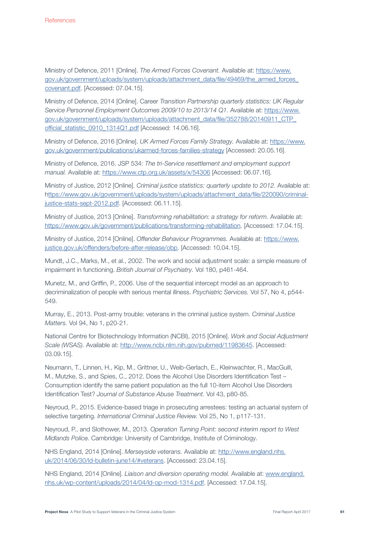Ministry of Defence, 2011 [Online]. The Armed Forces Covenant. Available at: https://www. gov.uk/government/uploads/system/uploads/attachment\_data/file/49469/the\_armed\_forces\_ covenant.pdf. [Accessed: 07.04.15].

Ministry of Defence, 2014 [Online]. Career Transition Partnership quarterly statistics: UK Regular Service Personnel Employment Outcomes 2009/10 to 2013/14 Q1. Available at: https://www. gov.uk/government/uploads/system/uploads/attachment\_data/file/352788/20140911\_CTP\_ official\_statistic\_0910\_1314Q1.pdf [Accessed: 14.06.16].

Ministry of Defence, 2016 [Online]. UK Armed Forces Family Strategy. Available at: https://www. gov.uk/government/publications/ukarmed-forces-families-strategy [Accessed: 20.05.16].

Ministry of Defence, 2016. JSP 534: The tri-Service resettlement and employment support manual. Available at: https://www.ctp.org.uk/assets/x/54306 [Accessed: 06.07.16].

Ministry of Justice, 2012 [Online]. Criminal justice statistics: quarterly update to 2012. Available at: https://www.gov.uk/government/uploads/system/uploads/attachment\_data/file/220090/criminaljustice-stats-sept-2012.pdf. [Accessed: 06.11.15].

Ministry of Justice, 2013 [Online]. Transforming rehabilitation: a strategy for reform. Available at: https://www.gov.uk/government/publications/transforming-rehabilitation. [Accessed: 17.04.15].

Ministry of Justice, 2014 [Online]. Offender Behaviour Programmes. Available at: https://www. justice.gov.uk/offenders/before-after-release/obp. [Accessed: 10.04.15].

Mundt, J.C., Marks, M., et al., 2002. The work and social adjustment scale: a simple measure of impairment in functioning. British Journal of Psychiatry. Vol 180, p461-464.

Munetz, M., and Griffin, P., 2006. Use of the sequential intercept model as an approach to decriminalization of people with serious mental illness. Psychiatric Services. Vol 57, No 4, p544- 549.

Murray, E., 2013. Post-army trouble: veterans in the criminal justice system. Criminal Justice Matters. Vol 94, No 1, p20-21.

National Centre for Biotechnology Information (NCBI), 2015 [Online]. Work and Social Adjustment Scale (WSAS). Available at: http://www.ncbi.nlm.nih.gov/pubmed/11983645. [Accessed: 03.09.15].

Neumann, T., Linnen, H., Kip, M., Grittner, U., Weib-Gerlach, E., Kleinwachter, R., MacGuill, M., Mutzke, S., and Spies, C., 2012. Does the Alcohol Use Disorders Identification Test – Consumption identify the same patient population as the full 10-item Alcohol Use Disorders Identification Test? Journal of Substance Abuse Treatment. Vol 43, p80-85.

Neyroud, P., 2015. Evidence-based triage in prosecuting arrestees: testing an actuarial system of selective targeting. International Criminal Justice Review. Vol 25, No 1, p117-131.

Neyroud, P., and Slothower, M., 2013. Operation Turning Point: second interim report to West Midlands Police. Cambridge: University of Cambridge, Institute of Criminology.

NHS England, 2014 [Online]. Merseyside veterans. Available at: http://www.england.nhs. uk/2014/06/30/ld-bulletin-june14/#veterans. [Accessed: 23.04.15].

NHS England, 2014 [Online]. Liaison and diversion operating model. Available at: www.england. nhs.uk/wp-content/uploads/2014/04/ld-op-mod-1314.pdf. [Accessed: 17.04.15].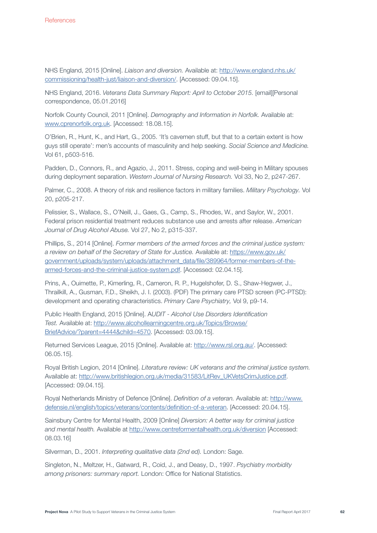NHS England, 2015 [Online]. Liaison and diversion. Available at: http://www.england.nhs.uk/ commissioning/health-just/liaison-and-diversion/. [Accessed: 09.04.15].

NHS England, 2016. Veterans Data Summary Report: April to October 2015. [email][Personal correspondence, 05.01.2016]

Norfolk County Council, 2011 [Online]. Demography and Information in Norfolk. Available at: www.cprenorfolk.org.uk. [Accessed: 18.08.15].

O'Brien, R., Hunt, K., and Hart, G., 2005. 'It's cavemen stuff, but that to a certain extent is how guys still operate': men's accounts of masculinity and help seeking. Social Science and Medicine. Vol 61, p503-516.

Padden, D., Connors, R., and Agazio, J., 2011. Stress, coping and well-being in Military spouses during deployment separation. Western Journal of Nursing Research. Vol 33, No 2, p247-267.

Palmer, C., 2008. A theory of risk and resilience factors in military families. Military Psychology. Vol 20, p205-217.

Pelissier, S., Wallace, S., O'Neill, J., Gaes, G., Camp, S., Rhodes, W., and Saylor, W., 2001. Federal prison residential treatment reduces substance use and arrests after release. American Journal of Drug Alcohol Abuse. Vol 27, No 2, p315-337.

Phillips, S., 2014 [Online]. Former members of the armed forces and the criminal justice system: a review on behalf of the Secretary of State for Justice. Available at: https://www.gov.uk/ government/uploads/system/uploads/attachment\_data/file/389964/former-members-of-thearmed-forces-and-the-criminal-justice-system.pdf. [Accessed: 02.04.15].

Prins, A., Ouimette, P., Kimerling, R., Cameron, R. P., Hugelshofer, D. S., Shaw-Hegwer, J., Thrailkill, A., Gusman, F.D., Sheikh, J. I. (2003). (PDF) The primary care PTSD screen (PC-PTSD): development and operating characteristics. Primary Care Psychiatry, Vol 9, p9-14.

Public Health England, 2015 [Online]. AUDIT - Alcohol Use Disorders Identification Test. Available at: http://www.alcohollearningcentre.org.uk/Topics/Browse/ BriefAdvice/?parent=4444&child=4570. [Accessed: 03.09.15].

Returned Services League, 2015 [Online]. Available at: http://www.rsl.org.au/. [Accessed: 06.05.15].

Royal British Legion, 2014 [Online]. Literature review: UK veterans and the criminal justice system. Available at: http://www.britishlegion.org.uk/media/31583/LitRev\_UKVetsCrimJustice.pdf. [Accessed: 09.04.15].

Royal Netherlands Ministry of Defence [Online]. Definition of a veteran. Available at: http://www. defensie.nl/english/topics/veterans/contents/definition-of-a-veteran. [Accessed: 20.04.15].

Sainsbury Centre for Mental Health, 2009 [Online] Diversion: A better way for criminal justice and mental health. Available at http://www.centreformentalhealth.org.uk/diversion [Accessed: 08.03.16]

Silverman, D., 2001. Interpreting qualitative data (2nd ed). London: Sage.

Singleton, N., Meltzer, H., Gatward, R., Coid, J., and Deasy, D., 1997. Psychiatry morbidity among prisoners: summary report. London: Office for National Statistics.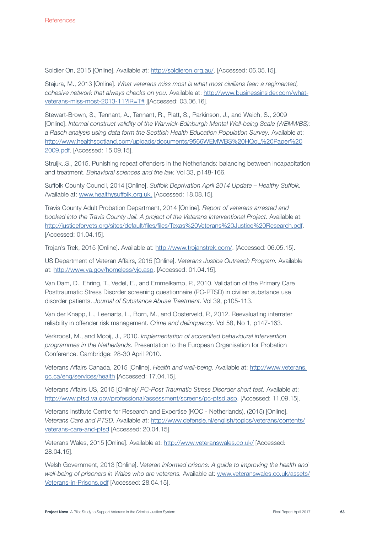Soldier On, 2015 [Online]. Available at: http://soldieron.org.au/. [Accessed: 06.05.15].

Stajura, M., 2013 [Online]. What veterans miss most is what most civilians fear: a regimented, cohesive network that always checks on you. Available at: http://www.businessinsider.com/whatveterans-miss-most-2013-11?IR=T# ][Accessed: 03.06.16].

Stewart-Brown, S., Tennant, A., Tennant, R., Platt, S., Parkinson, J., and Weich, S., 2009 [Online]. Internal construct validity of the Warwick-Edinburgh Mental Well-being Scale (WEMWBS): a Rasch analysis using data form the Scottish Health Education Population Survey. Available at: http://www.healthscotland.com/uploads/documents/9566WEMWBS%20HQoL%20Paper%20 2009.pdf. [Accessed: 15.09.15].

Struijk.,S., 2015. Punishing repeat offenders in the Netherlands: balancing between incapacitation and treatment. Behavioral sciences and the law. Vol 33, p148-166.

Suffolk County Council, 2014 [Online]. Suffolk Deprivation April 2014 Update – Healthy Suffolk. Available at: www.healthysuffolk.org.uk. [Accessed: 18.08.15].

Travis County Adult Probation Department, 2014 [Online]. Report of veterans arrested and booked into the Travis County Jail. A project of the Veterans Interventional Project. Available at: http://justiceforvets.org/sites/default/files/files/Texas%20Veterans%20Justice%20Research.pdf. [Accessed: 01.04.15].

Trojan's Trek, 2015 [Online]. Available at: http://www.trojanstrek.com/. [Accessed: 06.05.15].

US Department of Veteran Affairs, 2015 [Online]. Veterans Justice Outreach Program. Available at: http://www.va.gov/homeless/vjo.asp. [Accessed: 01.04.15].

Van Dam, D., Ehring, T., Vedel, E., and Emmelkamp, P., 2010. Validation of the Primary Care Posttraumatic Stress Disorder screening questionnaire (PC-PTSD) in civilian substance use disorder patients. Journal of Substance Abuse Treatment. Vol 39, p105-113.

Van der Knapp, L., Leenarts, L., Born, M., and Oosterveld, P., 2012. Reevaluating interrater reliability in offender risk management. Crime and delinquency. Vol 58, No 1, p147-163.

Verkroost, M., and Mooij, J., 2010. Implementation of accredited behavioural intervention programmes in the Netherlands. Presentation to the European Organisation for Probation Conference. Cambridge: 28-30 April 2010.

Veterans Affairs Canada, 2015 [Online]. Health and well-being. Available at: http://www.veterans. gc.ca/eng/services/health [Accessed: 17.04.15].

Veterans Affairs US, 2015 [Online]/ PC-Post Traumatic Stress Disorder short test. Available at: http://www.ptsd.va.gov/professional/assessment/screens/pc-ptsd.asp. [Accessed: 11.09.15].

Veterans Institute Centre for Research and Expertise (KOC - Netherlands), (2015) [Online]. Veterans Care and PTSD. Available at: http://www.defensie.nl/english/topics/veterans/contents/ veterans-care-and-ptsd [Accessed: 20.04.15].

Veterans Wales, 2015 [Online]. Available at: http://www.veteranswales.co.uk/ [Accessed: 28.04.15].

Welsh Government, 2013 [Online]. Veteran informed prisons: A guide to improving the health and well-being of prisoners in Wales who are veterans. Available at: www.veteranswales.co.uk/assets/ Veterans-in-Prisons.pdf [Accessed: 28.04.15].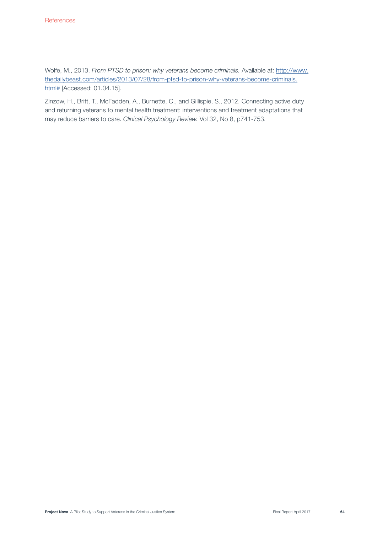Wolfe, M., 2013. From PTSD to prison: why veterans become criminals. Available at: http://www. thedailybeast.com/articles/2013/07/28/from-ptsd-to-prison-why-veterans-become-criminals. html# [Accessed: 01.04.15].

Zinzow, H., Britt, T., McFadden, A., Burnette, C., and Gillispie, S., 2012. Connecting active duty and returning veterans to mental health treatment: interventions and treatment adaptations that may reduce barriers to care. Clinical Psychology Review. Vol 32, No 8, p741-753.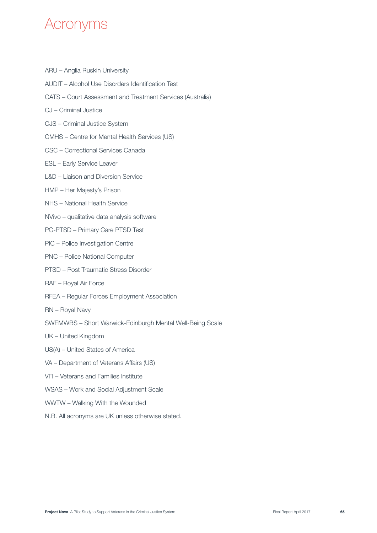# Acronyms

- ARU Anglia Ruskin University
- AUDIT Alcohol Use Disorders Identification Test
- CATS Court Assessment and Treatment Services (Australia)
- CJ Criminal Justice
- CJS Criminal Justice System
- CMHS Centre for Mental Health Services (US)
- CSC Correctional Services Canada
- ESL Early Service Leaver
- L&D Liaison and Diversion Service
- HMP Her Majesty's Prison
- NHS National Health Service
- NVivo qualitative data analysis software
- PC-PTSD Primary Care PTSD Test
- PIC Police Investigation Centre
- PNC Police National Computer
- PTSD Post Traumatic Stress Disorder
- RAF Royal Air Force
- RFEA Regular Forces Employment Association
- RN Royal Navy
- SWEMWBS Short Warwick-Edinburgh Mental Well-Being Scale
- UK United Kingdom
- US(A) United States of America
- VA Department of Veterans Affairs (US)
- VFI Veterans and Families Institute
- WSAS Work and Social Adjustment Scale
- WWTW Walking With the Wounded
- N.B. All acronyms are UK unless otherwise stated.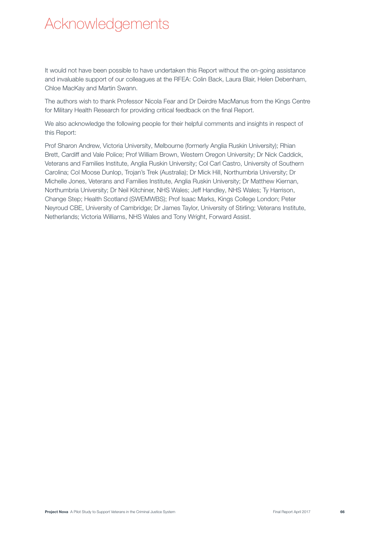# Acknowledgements

It would not have been possible to have undertaken this Report without the on-going assistance and invaluable support of our colleagues at the RFEA: Colin Back, Laura Blair, Helen Debenham, Chloe MacKay and Martin Swann.

The authors wish to thank Professor Nicola Fear and Dr Deirdre MacManus from the Kings Centre for Military Health Research for providing critical feedback on the final Report.

We also acknowledge the following people for their helpful comments and insights in respect of this Report:

Prof Sharon Andrew, Victoria University, Melbourne (formerly Anglia Ruskin University); Rhian Brett, Cardiff and Vale Police; Prof William Brown, Western Oregon University; Dr Nick Caddick, Veterans and Families Institute, Anglia Ruskin University; Col Carl Castro, University of Southern Carolina; Col Moose Dunlop, Trojan's Trek (Australia); Dr Mick Hill, Northumbria University; Dr Michelle Jones, Veterans and Families Institute, Anglia Ruskin University; Dr Matthew Kiernan, Northumbria University; Dr Neil Kitchiner, NHS Wales; Jeff Handley, NHS Wales; Ty Harrison, Change Step; Health Scotland (SWEMWBS); Prof Isaac Marks, Kings College London; Peter Neyroud CBE, University of Cambridge; Dr James Taylor, University of Stirling; Veterans Institute, Netherlands; Victoria Williams, NHS Wales and Tony Wright, Forward Assist.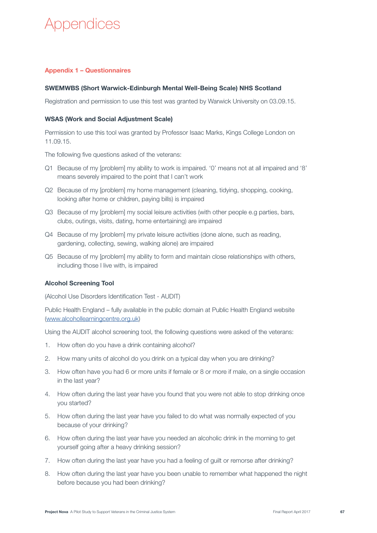# Appendices

# Appendix 1 – Questionnaires

### SWEMWBS (Short Warwick-Edinburgh Mental Well-Being Scale) NHS Scotland

Registration and permission to use this test was granted by Warwick University on 03.09.15.

#### WSAS (Work and Social Adjustment Scale)

Permission to use this tool was granted by Professor Isaac Marks, Kings College London on 11.09.15.

The following five questions asked of the veterans:

- Q1 Because of my [problem] my ability to work is impaired. '0' means not at all impaired and '8' means severely impaired to the point that I can't work
- Q2 Because of my [problem] my home management (cleaning, tidying, shopping, cooking, looking after home or children, paying bills) is impaired
- Q3 Because of my [problem] my social leisure activities (with other people e.g parties, bars, clubs, outings, visits, dating, home entertaining) are impaired
- Q4 Because of my [problem] my private leisure activities (done alone, such as reading, gardening, collecting, sewing, walking alone) are impaired
- Q5 Because of my [problem] my ability to form and maintain close relationships with others, including those I live with, is impaired

### Alcohol Screening Tool

(Alcohol Use Disorders Identification Test - AUDIT)

Public Health England – fully available in the public domain at Public Health England website (www.alcohollearningcentre.org.uk)

Using the AUDIT alcohol screening tool, the following questions were asked of the veterans:

- 1. How often do you have a drink containing alcohol?
- 2. How many units of alcohol do you drink on a typical day when you are drinking?
- 3. How often have you had 6 or more units if female or 8 or more if male, on a single occasion in the last year?
- 4. How often during the last year have you found that you were not able to stop drinking once you started?
- 5. How often during the last year have you failed to do what was normally expected of you because of your drinking?
- 6. How often during the last year have you needed an alcoholic drink in the morning to get yourself going after a heavy drinking session?
- 7. How often during the last year have you had a feeling of guilt or remorse after drinking?
- 8. How often during the last year have you been unable to remember what happened the night before because you had been drinking?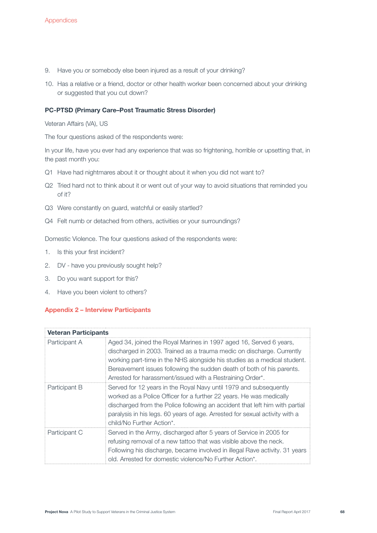- 9. Have you or somebody else been injured as a result of your drinking?
- 10. Has a relative or a friend, doctor or other health worker been concerned about your drinking or suggested that you cut down?

#### PC-PTSD (Primary Care–Post Traumatic Stress Disorder)

Veteran Affairs (VA), US

The four questions asked of the respondents were:

In your life, have you ever had any experience that was so frightening, horrible or upsetting that, in the past month you:

- Q1 Have had nightmares about it or thought about it when you did not want to?
- Q2 Tried hard not to think about it or went out of your way to avoid situations that reminded you of it?
- Q3 Were constantly on guard, watchful or easily startled?
- Q4 Felt numb or detached from others, activities or your surroundings?

Domestic Violence. The four questions asked of the respondents were:

- 1. Is this your first incident?
- 2. DV have you previously sought help?
- 3. Do you want support for this?
- 4. Have you been violent to others?

### Appendix 2 – Interview Participants

| <b>Veteran Participants</b> |                                                                                                                                                                                                                                                                                                                                                               |  |
|-----------------------------|---------------------------------------------------------------------------------------------------------------------------------------------------------------------------------------------------------------------------------------------------------------------------------------------------------------------------------------------------------------|--|
| Participant A               | Aged 34, joined the Royal Marines in 1997 aged 16, Served 6 years,<br>discharged in 2003. Trained as a trauma medic on discharge. Currently<br>working part-time in the NHS alongside his studies as a medical student.<br>Bereavement issues following the sudden death of both of his parents.<br>Arrested for harassment/issued with a Restraining Order*. |  |
| Participant B               | Served for 12 years in the Royal Navy until 1979 and subsequently<br>worked as a Police Officer for a further 22 years. He was medically<br>discharged from the Police following an accident that left him with partial<br>paralysis in his legs. 60 years of age. Arrested for sexual activity with a<br>child/No Further Action*.                           |  |
| Participant C               | Served in the Army, discharged after 5 years of Service in 2005 for<br>refusing removal of a new tattoo that was visible above the neck.<br>Following his discharge, became involved in illegal Rave activity. 31 years<br>old. Arrested for domestic violence/No Further Action*.                                                                            |  |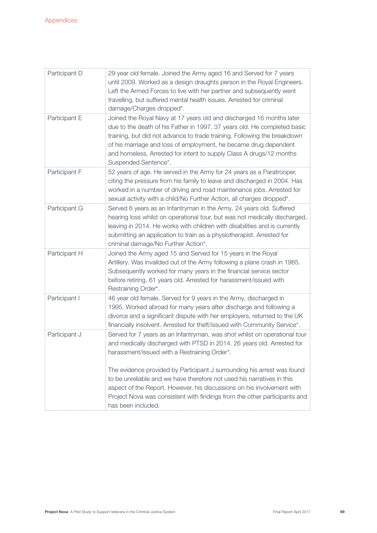| Participant D | 29 year old female. Joined the Army aged 16 and Served for 7 years<br>until 2009. Worked as a design draughts person in the Royal Engineers.<br>Left the Armed Forces to live with her partner and subsequently went<br>travelling, but suffered mental health issues. Arrested for criminal<br>damage/Charges dropped*.                                                                                                                                                                                                              |
|---------------|---------------------------------------------------------------------------------------------------------------------------------------------------------------------------------------------------------------------------------------------------------------------------------------------------------------------------------------------------------------------------------------------------------------------------------------------------------------------------------------------------------------------------------------|
| Participant E | Joined the Royal Navy at 17 years old and discharged 16 months later<br>due to the death of his Father in 1997. 37 years old. He completed basic<br>training, but did not advance to trade training. Following the breakdown<br>of his marriage and loss of employment, he became drug dependent<br>and homeless. Arrested for intent to supply Class A drugs/12 months<br>Suspended Sentence*.                                                                                                                                       |
| Participant F | 52 years of age. He served in the Army for 24 years as a Paratrooper,<br>citing the pressure from his family to leave and discharged in 2004. Has<br>worked in a number of driving and road maintenance jobs. Arrested for<br>sexual activity with a child/No Further Action, all charges dropped*.                                                                                                                                                                                                                                   |
| Participant G | Served 6 years as an Infantryman in the Army. 24 years old. Suffered<br>hearing loss whilst on operational tour, but was not medically discharged,<br>leaving in 2014. He works with children with disabilities and is currently<br>submitting an application to train as a physiotherapist. Arrested for<br>criminal damage/No Further Action*.                                                                                                                                                                                      |
| Participant H | Joined the Army aged 15 and Served for 15 years in the Royal<br>Artillery. Was invalided out of the Army following a plane crash in 1985.<br>Subsequently worked for many years in the financial service sector<br>before retiring. 61 years old. Arrested for harassment/issued with<br>Restraining Order*.                                                                                                                                                                                                                          |
| Participant I | 46 year old female. Served for 9 years in the Army, discharged in<br>1995. Worked abroad for many years after discharge and following a<br>divorce and a significant dispute with her employers, returned to the UK<br>financially insolvent. Arrested for theft/issued with Community Service*.                                                                                                                                                                                                                                      |
| Participant J | Served for 7 years as an Infantryman, was shot whilst on operational tour<br>and medically discharged with PTSD in 2014. 26 years old. Arrested for<br>harassment/issued with a Restraining Order*.<br>The evidence provided by Participant J surrounding his arrest was found<br>to be unreliable and we have therefore not used his narratives in this<br>aspect of the Report. However, his discussions on his involvement with<br>Project Nova was consistent with findings from the other participants and<br>has been included. |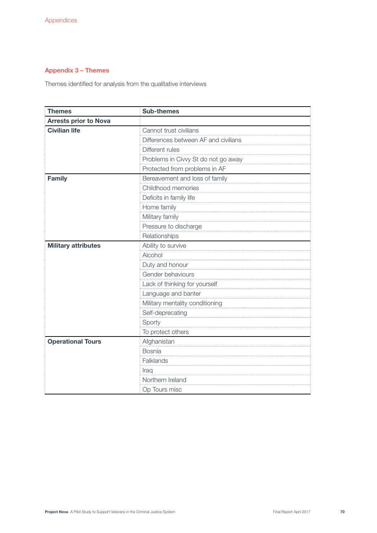# Appendix 3 – Themes

Themes identified for analysis from the qualitative interviews

| <b>Themes</b>                | <b>Sub-themes</b>                    |
|------------------------------|--------------------------------------|
| <b>Arrests prior to Nova</b> |                                      |
| <b>Civilian life</b>         | Cannot trust civilians               |
|                              | Differences between AF and civilians |
|                              | Different rules                      |
|                              | Problems in Civvy St do not go away  |
|                              | Protected from problems in AF        |
| <b>Family</b>                | Bereavement and loss of family       |
|                              | Childhood memories                   |
|                              | Deficits in family life              |
|                              | Home family                          |
|                              | Military family                      |
|                              | Pressure to discharge                |
|                              | Relationships                        |
| <b>Military attributes</b>   | Ability to survive                   |
|                              | Alcohol                              |
|                              | Duty and honour                      |
|                              | Gender behaviours                    |
|                              | Lack of thinking for yourself        |
|                              | Language and banter                  |
|                              | Military mentality conditioning      |
|                              | Self-deprecating                     |
|                              | Sporty                               |
|                              | To protect others                    |
| <b>Operational Tours</b>     | Afghanistan                          |
|                              | <b>Bosnia</b>                        |
|                              | Falklands                            |
|                              | Iraq                                 |
|                              | Northern Ireland                     |
|                              | Op Tours misc                        |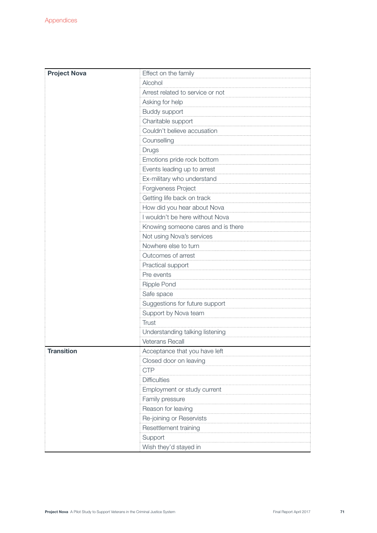| <b>Project Nova</b> | Effect on the family                                  |  |  |  |
|---------------------|-------------------------------------------------------|--|--|--|
|                     | Alcohol                                               |  |  |  |
|                     | Arrest related to service or not                      |  |  |  |
|                     | Asking for help                                       |  |  |  |
|                     | Buddy support                                         |  |  |  |
|                     | Charitable support                                    |  |  |  |
|                     | Couldn't believe accusation                           |  |  |  |
|                     | Counselling                                           |  |  |  |
|                     | Drugs                                                 |  |  |  |
|                     | Emotions pride rock bottom                            |  |  |  |
|                     | Events leading up to arrest                           |  |  |  |
|                     | Ex-military who understand                            |  |  |  |
|                     | Forgiveness Project                                   |  |  |  |
|                     | Getting life back on track                            |  |  |  |
|                     | How did you hear about Nova                           |  |  |  |
|                     | I wouldn't be here without Nova                       |  |  |  |
|                     | Knowing someone cares and is there                    |  |  |  |
|                     | Not using Nova's services                             |  |  |  |
|                     | Nowhere else to turn                                  |  |  |  |
|                     | Outcomes of arrest<br>Practical support<br>Pre events |  |  |  |
|                     |                                                       |  |  |  |
|                     |                                                       |  |  |  |
|                     | Ripple Pond                                           |  |  |  |
|                     | Safe space                                            |  |  |  |
|                     | Suggestions for future support                        |  |  |  |
|                     | Support by Nova team                                  |  |  |  |
|                     | <b>Trust</b>                                          |  |  |  |
|                     | Understanding talking listening                       |  |  |  |
|                     | <b>Veterans Recall</b>                                |  |  |  |
| <b>Transition</b>   | Acceptance that you have left                         |  |  |  |
|                     | Closed door on leaving                                |  |  |  |
|                     | <b>CTP</b>                                            |  |  |  |
|                     | <b>Difficulties</b>                                   |  |  |  |
|                     | Employment or study current                           |  |  |  |
|                     | Family pressure                                       |  |  |  |
|                     | Reason for leaving                                    |  |  |  |
|                     | Re-joining or Reservists                              |  |  |  |
|                     | Resettlement training                                 |  |  |  |
|                     | Support                                               |  |  |  |
|                     | Wish they'd stayed in                                 |  |  |  |